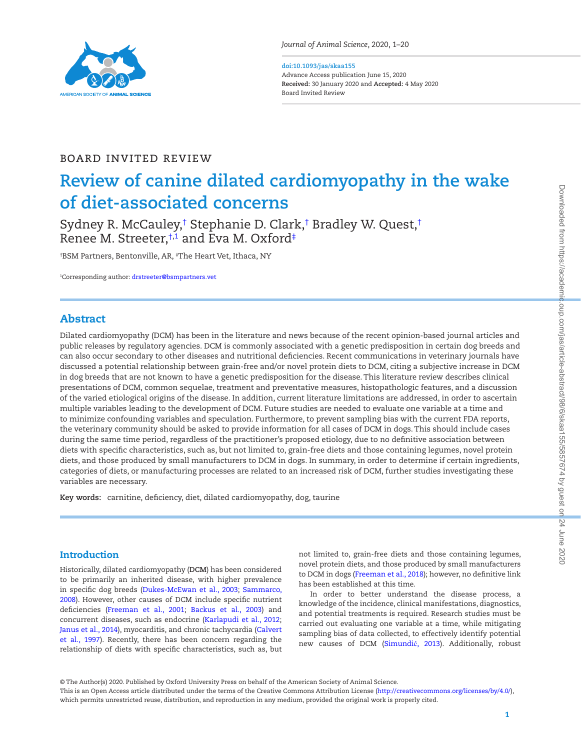

*Journal of Animal Science*, 2020, 1–20

#### **doi:10.1093/jas/skaa155** Advance Access publication June 15, 2020

**Received:** 30 January 2020 and **Accepted:** 4 May 2020 Board Invited Review

## Board Invited Review

# **Review of canine dilated cardiomyopathy in the wake of diet-associated concerns**

Sydney R. McCauley,† Stephanie D. Clark,† Bradley W. Quest,† Renee M. Streeter,†,[1](#page-0-0) and Eva M. Oxford‡

† BSM Partners, Bentonville, AR, ‡ The Heart Vet, Ithaca, NY

<span id="page-0-0"></span>1 Corresponding author: [drstreeter@bsmpartners.vet](mailto:drstreeter@bsmpartners.vet?subject=)

# Abstract

Dilated cardiomyopathy (DCM) has been in the literature and news because of the recent opinion-based journal articles and public releases by regulatory agencies. DCM is commonly associated with a genetic predisposition in certain dog breeds and can also occur secondary to other diseases and nutritional deficiencies. Recent communications in veterinary journals have discussed a potential relationship between grain-free and/or novel protein diets to DCM, citing a subjective increase in DCM in dog breeds that are not known to have a genetic predisposition for the disease. This literature review describes clinical presentations of DCM, common sequelae, treatment and preventative measures, histopathologic features, and a discussion of the varied etiological origins of the disease. In addition, current literature limitations are addressed, in order to ascertain multiple variables leading to the development of DCM. Future studies are needed to evaluate one variable at a time and to minimize confounding variables and speculation. Furthermore, to prevent sampling bias with the current FDA reports, the veterinary community should be asked to provide information for all cases of DCM in dogs. This should include cases during the same time period, regardless of the practitioner's proposed etiology, due to no definitive association between diets with specific characteristics, such as, but not limited to, grain-free diets and those containing legumes, novel protein diets, and those produced by small manufacturers to DCM in dogs. In summary, in order to determine if certain ingredients, categories of diets, or manufacturing processes are related to an increased risk of DCM, further studies investigating these variables are necessary.

**Key words:** carnitine, deficiency, diet, dilated cardiomyopathy, dog, taurine

# Introduction

L

Historically, dilated cardiomyopathy (**DCM**) has been considered to be primarily an inherited disease, with higher prevalence in specific dog breeds (Dukes-McEwan et al., 2003; Sammarco, 2008). However, other causes of DCM include specific nutrient deficiencies (Freeman et al., 2001; Backus et al., 2003) and concurrent diseases, such as endocrine (Karlapudi et al., 2012; Janus et al., 2014), myocarditis, and chronic tachycardia (Calvert et al., 1997). Recently, there has been concern regarding the relationship of diets with specific characteristics, such as, but not limited to, grain-free diets and those containing legumes, novel protein diets, and those produced by small manufacturers to DCM in dogs (Freeman et al., 2018); however, no definitive link has been established at this time.

In order to better understand the disease process, a knowledge of the incidence, clinical manifestations, diagnostics, and potential treatments is required. Research studies must be carried out evaluating one variable at a time, while mitigating sampling bias of data collected, to effectively identify potential new causes of DCM (Simundić, 2013). Additionally, robust

© The Author(s) 2020. Published by Oxford University Press on behalf of the American Society of Animal Science.

This is an Open Access article distributed under the terms of the Creative Commons Attribution License [\(http://creativecommons.org/licenses/by/4.0/](http://creativecommons.org/licenses/by/4.0/)), which permits unrestricted reuse, distribution, and reproduction in any medium, provided the original work is properly cited.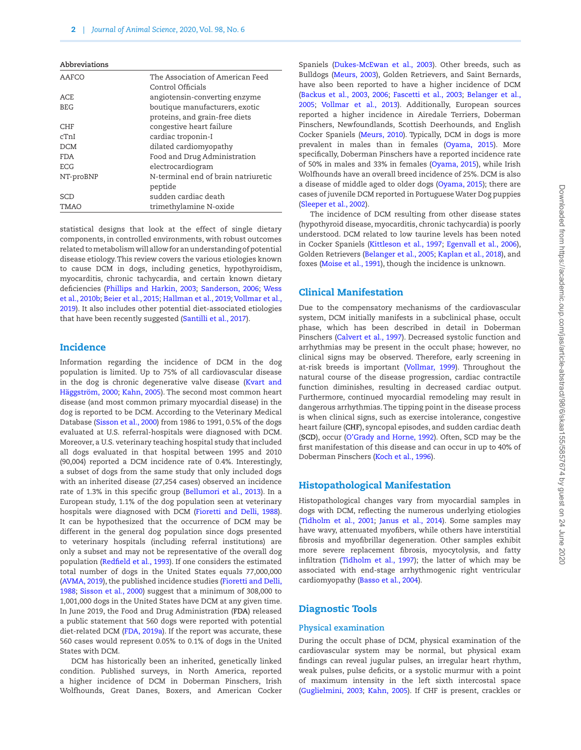| The Association of American Feed    |
|-------------------------------------|
| Control Officials                   |
| angiotensin-converting enzyme       |
| boutique manufacturers, exotic      |
| proteins, and grain-free diets      |
| congestive heart failure            |
| cardiac troponin-I                  |
| dilated cardiomyopathy              |
| Food and Drug Administration        |
| electrocardiogram                   |
| N-terminal end of brain natriuretic |
| peptide                             |
| sudden cardiac death                |
| trimethylamine N-oxide              |
|                                     |

statistical designs that look at the effect of single dietary components, in controlled environments, with robust outcomes related to metabolism will allow for an understanding of potential disease etiology. This review covers the various etiologies known to cause DCM in dogs, including genetics, hypothyroidism, myocarditis, chronic tachycardia, and certain known dietary deficiencies (Phillips and Harkin, 2003; Sanderson, 2006; Wess et al., 2010b; Beier et al., 2015; Hallman et al., 2019; Vollmar et al., 2019). It also includes other potential diet-associated etiologies that have been recently suggested (Santilli et al., 2017).

## **Incidence**

Information regarding the incidence of DCM in the dog population is limited. Up to 75% of all cardiovascular disease in the dog is chronic degenerative valve disease (Kvart and Häggström, 2000; Kahn, 2005). The second most common heart disease (and most common primary myocardial disease) in the dog is reported to be DCM. According to the Veterinary Medical Database (Sisson et al., 2000) from 1986 to 1991, 0.5% of the dogs evaluated at U.S. referral-hospitals were diagnosed with DCM. Moreover, a U.S. veterinary teaching hospital study that included all dogs evaluated in that hospital between 1995 and 2010 (90,004) reported a DCM incidence rate of 0.4%. Interestingly, a subset of dogs from the same study that only included dogs with an inherited disease (27,254 cases) observed an incidence rate of 1.3% in this specific group (Bellumori et al., 2013). In a European study, 1.1% of the dog population seen at veterinary hospitals were diagnosed with DCM (Fioretti and Delli, 1988). It can be hypothesized that the occurrence of DCM may be different in the general dog population since dogs presented to veterinary hospitals (including referral institutions) are only a subset and may not be representative of the overall dog population (Redfield et al., 1993). If one considers the estimated total number of dogs in the United States equals 77,000,000 (AVMA, 2019), the published incidence studies (Fioretti and Delli, 1988; Sisson et al., 2000) suggest that a minimum of 308,000 to 1,001,000 dogs in the United States have DCM at any given time. In June 2019, the Food and Drug Administration (**FDA**) released a public statement that 560 dogs were reported with potential diet-related DCM (FDA, 2019a). If the report was accurate, these 560 cases would represent 0.05% to 0.1% of dogs in the United States with DCM.

DCM has historically been an inherited, genetically linked condition. Published surveys, in North America, reported a higher incidence of DCM in Doberman Pinschers, Irish Wolfhounds, Great Danes, Boxers, and American Cocker

Spaniels (Dukes-McEwan et al., 2003). Other breeds, such as Bulldogs (Meurs, 2003), Golden Retrievers, and Saint Bernards, have also been reported to have a higher incidence of DCM (Backus et al., 2003, 2006; Fascetti et al., 2003; Belanger et al., 2005; Vollmar et al., 2013). Additionally, European sources reported a higher incidence in Airedale Terriers, Doberman Pinschers, Newfoundlands, Scottish Deerhounds, and English Cocker Spaniels (Meurs, 2010). Typically, DCM in dogs is more prevalent in males than in females (Oyama, 2015). More specifically, Doberman Pinschers have a reported incidence rate of 50% in males and 33% in females (Oyama, 2015), while Irish Wolfhounds have an overall breed incidence of 25%. DCM is also a disease of middle aged to older dogs (Oyama, 2015); there are cases of juvenile DCM reported in Portuguese Water Dog puppies (Sleeper et al., 2002).

The incidence of DCM resulting from other disease states (hypothyroid disease, myocarditis, chronic tachycardia) is poorly understood. DCM related to low taurine levels has been noted in Cocker Spaniels (Kittleson et al., 1997; Egenvall et al., 2006), Golden Retrievers (Belanger et al., 2005; Kaplan et al., 2018), and foxes (Moise et al., 1991), though the incidence is unknown.

## Clinical Manifestation

Due to the compensatory mechanisms of the cardiovascular system, DCM initially manifests in a subclinical phase, occult phase, which has been described in detail in Doberman Pinschers (Calvert et al., 1997). Decreased systolic function and arrhythmias may be present in the occult phase; however, no clinical signs may be observed. Therefore, early screening in at-risk breeds is important (Vollmar, 1999). Throughout the natural course of the disease progression, cardiac contractile function diminishes, resulting in decreased cardiac output. Furthermore, continued myocardial remodeling may result in dangerous arrhythmias. The tipping point in the disease process is when clinical signs, such as exercise intolerance, congestive heart failure (**CHF**), syncopal episodes, and sudden cardiac death (**SCD**), occur (O'Grady and Horne, 1992). Often, SCD may be the first manifestation of this disease and can occur in up to 40% of Doberman Pinschers (Koch et al., 1996).

## Histopathological Manifestation

Histopathological changes vary from myocardial samples in dogs with DCM, reflecting the numerous underlying etiologies (Tidholm et al., 2001; Janus et al., 2014). Some samples may have wavy, attenuated myofibers, while others have interstitial fibrosis and myofibrillar degeneration. Other samples exhibit more severe replacement fibrosis, myocytolysis, and fatty infiltration (Tidholm et al., 1997); the latter of which may be associated with end-stage arrhythmogenic right ventricular cardiomyopathy (Basso et al., 2004).

## Diagnostic Tools

#### **Physical examination**

During the occult phase of DCM, physical examination of the cardiovascular system may be normal, but physical exam findings can reveal jugular pulses, an irregular heart rhythm, weak pulses, pulse deficits, or a systolic murmur with a point of maximum intensity in the left sixth intercostal space (Guglielmini, 2003; Kahn, 2005). If CHF is present, crackles or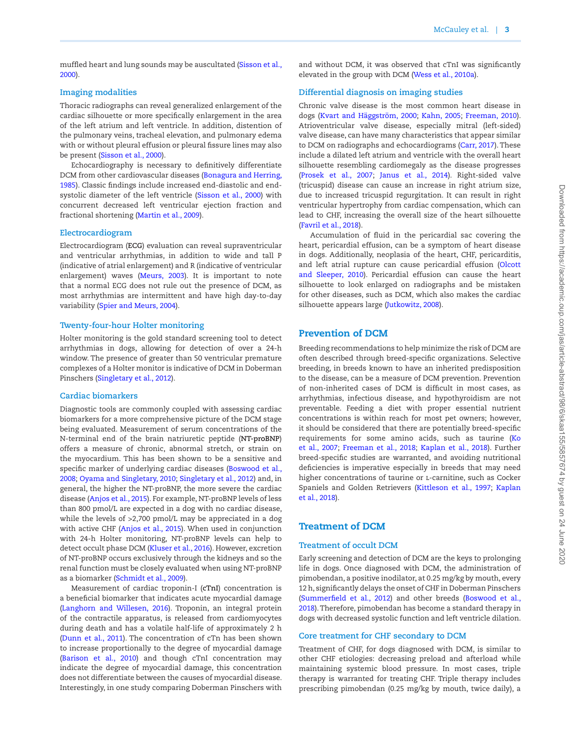muffled heart and lung sounds may be auscultated (Sisson et al., 2000).

## **Imaging modalities**

Thoracic radiographs can reveal generalized enlargement of the cardiac silhouette or more specifically enlargement in the area of the left atrium and left ventricle. In addition, distention of the pulmonary veins, tracheal elevation, and pulmonary edema with or without pleural effusion or pleural fissure lines may also be present (Sisson et al., 2000).

Echocardiography is necessary to definitively differentiate DCM from other cardiovascular diseases (Bonagura and Herring, 1985). Classic findings include increased end-diastolic and endsystolic diameter of the left ventricle (Sisson et al., 2000) with concurrent decreased left ventricular ejection fraction and fractional shortening (Martin et al., 2009).

#### **Electrocardiogram**

Electrocardiogram (**ECG**) evaluation can reveal supraventricular and ventricular arrhythmias, in addition to wide and tall P (indicative of atrial enlargement) and R (indicative of ventricular enlargement) waves (Meurs, 2003). It is important to note that a normal ECG does not rule out the presence of DCM, as most arrhythmias are intermittent and have high day-to-day variability (Spier and Meurs, 2004).

## **Twenty-four-hour Holter monitoring**

Holter monitoring is the gold standard screening tool to detect arrhythmias in dogs, allowing for detection of over a 24-h window. The presence of greater than 50 ventricular premature complexes of a Holter monitor is indicative of DCM in Doberman Pinschers (Singletary et al., 2012).

#### **Cardiac biomarkers**

Diagnostic tools are commonly coupled with assessing cardiac biomarkers for a more comprehensive picture of the DCM stage being evaluated. Measurement of serum concentrations of the N-terminal end of the brain natriuretic peptide (**NT-proBNP**) offers a measure of chronic, abnormal stretch, or strain on the myocardium. This has been shown to be a sensitive and specific marker of underlying cardiac diseases (Boswood et al., 2008; Oyama and Singletary, 2010; Singletary et al., 2012) and, in general, the higher the NT-proBNP, the more severe the cardiac disease (Anjos et al., 2015). For example, NT-proBNP levels of less than 800 pmol/L are expected in a dog with no cardiac disease, while the levels of >2,700 pmol/L may be appreciated in a dog with active CHF (Anjos et al., 2015). When used in conjunction with 24-h Holter monitoring, NT-proBNP levels can help to detect occult phase DCM (Kluser et al., 2016). However, excretion of NT-proBNP occurs exclusively through the kidneys and so the renal function must be closely evaluated when using NT-proBNP as a biomarker (Schmidt et al., 2009).

Measurement of cardiac troponin-I (**cTnI**) concentration is a beneficial biomarker that indicates acute myocardial damage (Langhorn and Willesen, 2016). Troponin, an integral protein of the contractile apparatus, is released from cardiomyocytes during death and has a volatile half-life of approximately 2 h (Dunn et al., 2011). The concentration of cTn has been shown to increase proportionally to the degree of myocardial damage (Barison et al., 2010) and though cTnI concentration may indicate the degree of myocardial damage, this concentration does not differentiate between the causes of myocardial disease. Interestingly, in one study comparing Doberman Pinschers with

and without DCM, it was observed that cTnI was significantly elevated in the group with DCM (Wess et al., 2010a).

## **Differential diagnosis on imaging studies**

Chronic valve disease is the most common heart disease in dogs (Kvart and Häggström, 2000; Kahn, 2005; Freeman, 2010). Atrioventricular valve disease, especially mitral (left-sided) valve disease, can have many characteristics that appear similar to DCM on radiographs and echocardiograms (Carr, 2017). These include a dilated left atrium and ventricle with the overall heart silhouette resembling cardiomegaly as the disease progresses (Prosek et al., 2007; Janus et al., 2014). Right-sided valve (tricuspid) disease can cause an increase in right atrium size, due to increased tricuspid regurgitation. It can result in right ventricular hypertrophy from cardiac compensation, which can lead to CHF, increasing the overall size of the heart silhouette (Favril et al., 2018).

Accumulation of fluid in the pericardial sac covering the heart, pericardial effusion, can be a symptom of heart disease in dogs. Additionally, neoplasia of the heart, CHF, pericarditis, and left atrial rupture can cause pericardial effusion (Olcott and Sleeper, 2010). Pericardial effusion can cause the heart silhouette to look enlarged on radiographs and be mistaken for other diseases, such as DCM, which also makes the cardiac silhouette appears large (Jutkowitz, 2008).

## Prevention of DCM

Breeding recommendations to help minimize the risk of DCM are often described through breed-specific organizations. Selective breeding, in breeds known to have an inherited predisposition to the disease, can be a measure of DCM prevention. Prevention of non-inherited cases of DCM is difficult in most cases, as arrhythmias, infectious disease, and hypothyroidism are not preventable. Feeding a diet with proper essential nutrient concentrations is within reach for most pet owners; however, it should be considered that there are potentially breed-specific requirements for some amino acids, such as taurine (Ko et al., 2007; Freeman et al., 2018; Kaplan et al., 2018). Further breed-specific studies are warranted, and avoiding nutritional deficiencies is imperative especially in breeds that may need higher concentrations of taurine or l-carnitine, such as Cocker Spaniels and Golden Retrievers (Kittleson et al., 1997; Kaplan et al., 2018).

## Treatment of DCM

## **Treatment of occult DCM**

Early screening and detection of DCM are the keys to prolonging life in dogs. Once diagnosed with DCM, the administration of pimobendan, a positive inodilator, at 0.25 mg/kg by mouth, every 12 h, significantly delays the onset of CHF in Doberman Pinschers (Summerfield et al., 2012) and other breeds (Boswood et al., 2018). Therefore, pimobendan has become a standard therapy in dogs with decreased systolic function and left ventricle dilation.

## **Core treatment for CHF secondary to DCM**

Treatment of CHF, for dogs diagnosed with DCM, is similar to other CHF etiologies: decreasing preload and afterload while maintaining systemic blood pressure. In most cases, triple therapy is warranted for treating CHF. Triple therapy includes prescribing pimobendan (0.25 mg/kg by mouth, twice daily), a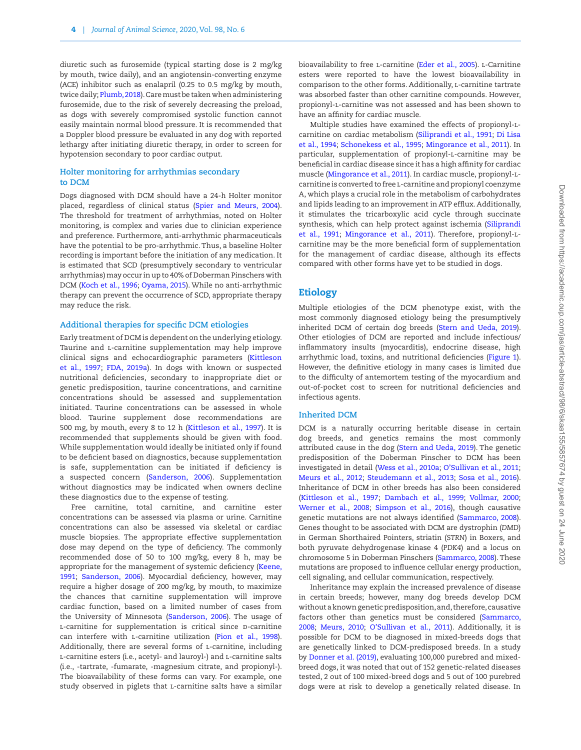diuretic such as furosemide (typical starting dose is 2 mg/kg by mouth, twice daily), and an angiotensin-converting enzyme (ACE) inhibitor such as enalapril (0.25 to 0.5 mg/kg by mouth, twice daily; Plumb, 2018). Care must be taken when administering furosemide, due to the risk of severely decreasing the preload, as dogs with severely compromised systolic function cannot easily maintain normal blood pressure. It is recommended that a Doppler blood pressure be evaluated in any dog with reported lethargy after initiating diuretic therapy, in order to screen for hypotension secondary to poor cardiac output.

#### **Holter monitoring for arrhythmias secondary to DCM**

Dogs diagnosed with DCM should have a 24-h Holter monitor placed, regardless of clinical status (Spier and Meurs, 2004). The threshold for treatment of arrhythmias, noted on Holter monitoring, is complex and varies due to clinician experience and preference. Furthermore, anti-arrhythmic pharmaceuticals have the potential to be pro-arrhythmic. Thus, a baseline Holter recording is important before the initiation of any medication. It is estimated that SCD (presumptively secondary to ventricular arrhythmias) may occur in up to 40% of Doberman Pinschers with DCM (Koch et al., 1996; Oyama, 2015). While no anti-arrhythmic therapy can prevent the occurrence of SCD, appropriate therapy may reduce the risk.

## **Additional therapies for specific DCM etiologies**

Early treatment of DCM is dependent on the underlying etiology. Taurine and l-carnitine supplementation may help improve clinical signs and echocardiographic parameters (Kittleson et al., 1997; FDA, 2019a). In dogs with known or suspected nutritional deficiencies, secondary to inappropriate diet or genetic predisposition, taurine concentrations, and carnitine concentrations should be assessed and supplementation initiated. Taurine concentrations can be assessed in whole blood. Taurine supplement dose recommendations are 500 mg, by mouth, every 8 to 12 h (Kittleson et al., 1997). It is recommended that supplements should be given with food. While supplementation would ideally be initiated only if found to be deficient based on diagnostics, because supplementation is safe, supplementation can be initiated if deficiency is a suspected concern (Sanderson, 2006). Supplementation without diagnostics may be indicated when owners decline these diagnostics due to the expense of testing.

Free carnitine, total carnitine, and carnitine ester concentrations can be assessed via plasma or urine. Carnitine concentrations can also be assessed via skeletal or cardiac muscle biopsies. The appropriate effective supplementation dose may depend on the type of deficiency. The commonly recommended dose of 50 to 100 mg/kg, every 8 h, may be appropriate for the management of systemic deficiency (Keene, [1991](#page-16-0); Sanderson, 2006). Myocardial deficiency, however, may require a higher dosage of 200 mg/kg, by mouth, to maximize the chances that carnitine supplementation will improve cardiac function, based on a limited number of cases from the University of Minnesota (Sanderson, 2006). The usage of L-carnitine for supplementation is critical since D-carnitine can interfere with l-carnitine utilization (Pion et al., 1998). Additionally, there are several forms of *L*-carnitine, including l-carnitine esters (i.e., acetyl- and lauroyl-) and l-carnitine salts (i.e., -tartrate, -fumarate, -magnesium citrate, and propionyl-). The bioavailability of these forms can vary. For example, one study observed in piglets that l-carnitine salts have a similar

bioavailability to free L-carnitine (Eder et al., 2005). L-Carnitine esters were reported to have the lowest bioavailability in comparison to the other forms. Additionally, l-carnitine tartrate was absorbed faster than other carnitine compounds. However, propionyl-l-carnitine was not assessed and has been shown to have an affinity for cardiac muscle.

Multiple studies have examined the effects of propionyl-lcarnitine on cardiac metabolism (Siliprandi et al., 1991; Di Lisa et al., 1994; Schonekess et al., 1995; Mingorance et al., 2011). In particular, supplementation of propionyl-l-carnitine may be beneficial in cardiac disease since it has a high affinity for cardiac muscle (Mingorance et al., 2011). In cardiac muscle, propionyl-lcarnitine is converted to free l-carnitine and propionyl coenzyme A, which plays a crucial role in the metabolism of carbohydrates and lipids leading to an improvement in ATP efflux. Additionally, it stimulates the tricarboxylic acid cycle through succinate synthesis, which can help protect against ischemia (Siliprandi et al., 1991; Mingorance et al., 2011). Therefore, propionyl-lcarnitine may be the more beneficial form of supplementation for the management of cardiac disease, although its effects compared with other forms have yet to be studied in dogs.

## Etiology

Multiple etiologies of the DCM phenotype exist, with the most commonly diagnosed etiology being the presumptively inherited DCM of certain dog breeds (Stern and Ueda, 2019). Other etiologies of DCM are reported and include infectious/ inflammatory insults (myocarditis), endocrine disease, high arrhythmic load, toxins, and nutritional deficiencies [\(Figure 1\)](#page-4-0). However, the definitive etiology in many cases is limited due to the difficulty of antemortem testing of the myocardium and out-of-pocket cost to screen for nutritional deficiencies and infectious agents.

#### **Inherited DCM**

DCM is a naturally occurring heritable disease in certain dog breeds, and genetics remains the most commonly attributed cause in the dog (Stern and Ueda, 2019). The genetic predisposition of the Doberman Pinscher to DCM has been investigated in detail (Wess et al., 2010a; O'Sullivan et al., 2011; Meurs et al., 2012; Steudemann et al., 2013; Sosa et al., 2016). Inheritance of DCM in other breeds has also been considered (Kittleson et al., 1997; Dambach et al., 1999; Vollmar, 2000; Werner et al., 2008; Simpson et al., 2016), though causative genetic mutations are not always identified (Sammarco, 2008). Genes thought to be associated with DCM are dystrophin (*DMD*) in German Shorthaired Pointers, striatin (*STRN*) in Boxers, and both pyruvate dehydrogenase kinase 4 (*PDK4*) and a locus on chromosome 5 in Doberman Pinschers (Sammarco, 2008). These mutations are proposed to influence cellular energy production, cell signaling, and cellular communication, respectively.

Inheritance may explain the increased prevalence of disease in certain breeds; however, many dog breeds develop DCM without a known genetic predisposition, and, therefore, causative factors other than genetics must be considered (Sammarco, 2008; Meurs, 2010; O'Sullivan et al., 2011). Additionally, it is possible for DCM to be diagnosed in mixed-breeds dogs that are genetically linked to DCM-predisposed breeds. In a study by Donner et al. (2019), evaluating 100,000 purebred and mixedbreed dogs, it was noted that out of 152 genetic-related diseases tested, 2 out of 100 mixed-breed dogs and 5 out of 100 purebred dogs were at risk to develop a genetically related disease. In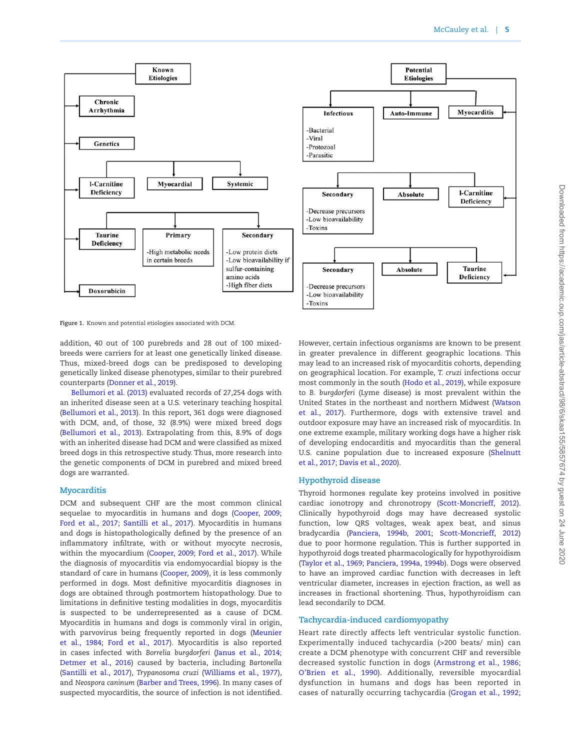

<span id="page-4-0"></span>**Figure 1.** Known and potential etiologies associated with DCM.

addition, 40 out of 100 purebreds and 28 out of 100 mixedbreeds were carriers for at least one genetically linked disease. Thus, mixed-breed dogs can be predisposed to developing genetically linked disease phenotypes, similar to their purebred counterparts (Donner et al., 2019).

Bellumori et al. (2013) evaluated records of 27,254 dogs with an inherited disease seen at a U.S. veterinary teaching hospital (Bellumori et al., 2013). In this report, 361 dogs were diagnosed with DCM, and, of those, 32 (8.9%) were mixed breed dogs (Bellumori et al., 2013). Extrapolating from this, 8.9% of dogs with an inherited disease had DCM and were classified as mixed breed dogs in this retrospective study. Thus, more research into the genetic components of DCM in purebred and mixed breed dogs are warranted.

## **Myocarditis**

DCM and subsequent CHF are the most common clinical sequelae to myocarditis in humans and dogs (Cooper, 2009; Ford et al., 2017; Santilli et al., 2017). Myocarditis in humans and dogs is histopathologically defined by the presence of an inflammatory infiltrate, with or without myocyte necrosis, within the myocardium (Cooper, 2009; Ford et al., 2017). While the diagnosis of myocarditis via endomyocardial biopsy is the standard of care in humans (Cooper, 2009), it is less commonly performed in dogs. Most definitive myocarditis diagnoses in dogs are obtained through postmortem histopathology. Due to limitations in definitive testing modalities in dogs, myocarditis is suspected to be underrepresented as a cause of DCM. Myocarditis in humans and dogs is commonly viral in origin, with parvovirus being frequently reported in dogs (Meunier et al., 1984; Ford et al., 2017). Myocarditis is also reported in cases infected with *Borrelia burgdorferi* (Janus et al., 2014; Detmer et al., 2016) caused by bacteria, including *Bartonella* (Santilli et al., 2017), *Trypanosoma cruzi* (Williams et al., 1977), and *Neospora caninum* (Barber and Trees, 1996). In many cases of suspected myocarditis, the source of infection is not identified.

However, certain infectious organisms are known to be present in greater prevalence in different geographic locations. This may lead to an increased risk of myocarditis cohorts, depending on geographical location. For example, *T. cruzi* infections occur most commonly in the south (Hodo et al., 2019), while exposure to *B. burgdorferi* (Lyme disease) is most prevalent within the United States in the northeast and northern Midwest (Watson et al., 2017). Furthermore, dogs with extensive travel and outdoor exposure may have an increased risk of myocarditis. In one extreme example, military working dogs have a higher risk of developing endocarditis and myocarditis than the general U.S. canine population due to increased exposure (Shelnutt et al., 2017; Davis et al., 2020).

## **Hypothyroid disease**

Thyroid hormones regulate key proteins involved in positive cardiac ionotropy and chronotropy (Scott-Moncrieff, 2012). Clinically hypothyroid dogs may have decreased systolic function, low QRS voltages, weak apex beat, and sinus bradycardia (Panciera, 1994b, 2001; Scott-Moncrieff, 2012) due to poor hormone regulation. This is further supported in hypothyroid dogs treated pharmacologically for hypothyroidism (Taylor et al., 1969; Panciera, 1994a, 1994b). Dogs were observed to have an improved cardiac function with decreases in left ventricular diameter, increases in ejection fraction, as well as increases in fractional shortening. Thus, hypothyroidism can lead secondarily to DCM.

## **Tachycardia-induced cardiomyopathy**

Heart rate directly affects left ventricular systolic function. Experimentally induced tachycardia (>200 beats/ min) can create a DCM phenotype with concurrent CHF and reversible decreased systolic function in dogs (Armstrong et al., 1986; O'Brien et al., 1990). Additionally, reversible myocardial dysfunction in humans and dogs has been reported in cases of naturally occurring tachycardia (Grogan et al., 1992;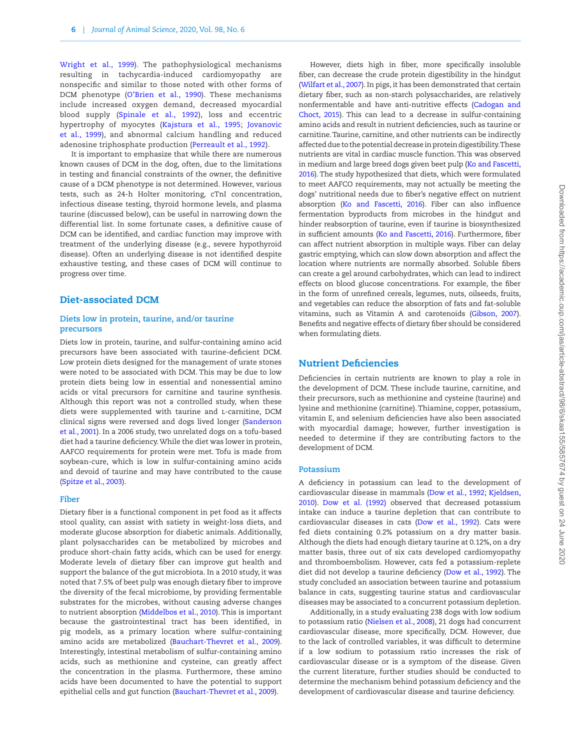Wright et al., 1999). The pathophysiological mechanisms resulting in tachycardia-induced cardiomyopathy are nonspecific and similar to those noted with other forms of DCM phenotype (O'Brien et al., 1990). These mechanisms include increased oxygen demand, decreased myocardial blood supply (Spinale et al., 1992), loss and eccentric hypertrophy of myocytes (Kajstura et al., 1[995;](#page-16-1) Jovanovic et al., 1999), and abnormal calcium handling and reduced adenosine triphosphate production (Perreault et al., 1992).

It is important to emphasize that while there are numerous known causes of DCM in the dog, often, due to the limitations in testing and financial constraints of the owner, the definitive cause of a DCM phenotype is not determined. However, various tests, such as 24-h Holter monitoring, cTnI concentration, infectious disease testing, thyroid hormone levels, and plasma taurine (discussed below), can be useful in narrowing down the differential list. In some fortunate cases, a definitive cause of DCM can be identified, and cardiac function may improve with treatment of the underlying disease (e.g., severe hypothyroid disease). Often an underlying disease is not identified despite exhaustive testing, and these cases of DCM will continue to progress over time.

## Diet-associated DCM

## **Diets low in protein, taurine, and/or taurine precursors**

Diets low in protein, taurine, and sulfur-containing amino acid precursors have been associated with taurine-deficient DCM. Low protein diets designed for the management of urate stones were noted to be associated with DCM. This may be due to low protein diets being low in essential and nonessential amino acids or vital precursors for carnitine and taurine synthesis. Although this report was not a controlled study, when these diets were supplemented with taurine and L-carnitine, DCM clinical signs were reversed and dogs lived longer (Sanderson et al., 2001). In a 2006 study, two unrelated dogs on a tofu-based diet had a taurine deficiency. While the diet was lower in protein, AAFCO requirements for protein were met. Tofu is made from soybean-cure, which is low in sulfur-containing amino acids and devoid of taurine and may have contributed to the cause (Spitze et al., 2003).

#### **Fiber**

Dietary fiber is a functional component in pet food as it affects stool quality, can assist with satiety in weight-loss diets, and moderate glucose absorption for diabetic animals. Additionally, plant polysaccharides can be metabolized by microbes and produce short-chain fatty acids, which can be used for energy. Moderate levels of dietary fiber can improve gut health and support the balance of the gut microbiota. In a 2010 study, it was noted that 7.5% of beet pulp was enough dietary fiber to improve the diversity of the fecal microbiome, by providing fermentable substrates for the microbes, without causing adverse changes to nutrient absorption (Middelbos et al., 2010). This is important because the gastrointestinal tract has been identified, in pig models, as a primary location where sulfur-containing amino acids are metabolized (Bauchart-Thevret et al., 2009). Interestingly, intestinal metabolism of sulfur-containing amino acids, such as methionine and cysteine, can greatly affect the concentration in the plasma. Furthermore, these amino acids have been documented to have the potential to support epithelial cells and gut function (Bauchart-Thevret et al., 2009).

Downloaded from https://academic.oup.com/jas/article-abstract/98/6/skaa155/5857674 by guest on 24 June 2020 Downloaded from https://academic.oup.com/jas/article-abstract/98/6/skaa155/5857674 by guest on 24 June 2020

fiber, can decrease the crude protein digestibility in the hindgut (Wilfart et al., 2007). In pigs, it has been demonstrated that certain dietary fiber, such as non-starch polysaccharides, are relatively nonfermentable and have anti-nutritive effects (Cadogan and Choct, 2015). This can lead to a decrease in sulfur-containing amino acids and result in nutrient deficiencies, such as taurine or carnitine. Taurine, carnitine, and other nutrients can be indirectly affected due to the potential decrease in protein digestibility. These nutrients are vital in cardiac muscle function. This was observed in medium and large breed dogs given beet pulp (Ko and Fascetti, 2016). The study hypothesized that diets, which were formulated to meet AAFCO requirements, may not actually be meeting the dogs' nutritional needs due to fiber's negative effect on nutrient absorption (Ko and Fascetti, 2016). Fiber can also influence fermentation byproducts from microbes in the hindgut and hinder reabsorption of taurine, even if taurine is biosynthesized in sufficient amounts (Ko and Fascetti, 2016). Furthermore, fiber can affect nutrient absorption in multiple ways. Fiber can delay gastric emptying, which can slow down absorption and affect the location where nutrients are normally absorbed. Soluble fibers can create a gel around carbohydrates, which can lead to indirect effects on blood glucose concentrations. For example, the fiber in the form of unrefined cereals, legumes, nuts, oilseeds, fruits, and vegetables can reduce the absorption of fats and fat-soluble vitamins, such as Vitamin A and carotenoids (Gibson, 2007). Benefits and negative effects of dietary fiber should be considered when formulating diets.

However, diets high in fiber, more specifically insoluble

## Nutrient Deficiencies

Deficiencies in certain nutrients are known to play a role in the development of DCM. These include taurine, carnitine, and their precursors, such as methionine and cysteine (taurine) and lysine and methionine (carnitine). Thiamine, copper, potassium, vitamin E, and selenium deficiencies have also been associated with myocardial damage; however, further investigation is needed to determine if they are contributing factors to the development of DCM.

#### **Potassium**

A deficiency in potassium can lead to the development of cardiovascular disease in mammals (Dow et al., 1992; Kjeldsen, 2010). Dow et al. (1992) observed that decreased potassium intake can induce a taurine depletion that can contribute to cardiovascular diseases in cats (Dow et al., 1992). Cats were fed diets containing 0.2% potassium on a dry matter basis. Although the diets had enough dietary taurine at 0.12%, on a dry matter basis, three out of six cats developed cardiomyopathy and thromboembolism. However, cats fed a potassium-replete diet did not develop a taurine deficiency (Dow et al., 1992). The study concluded an association between taurine and potassium balance in cats, suggesting taurine status and cardiovascular diseases may be associated to a concurrent potassium depletion.

Additionally, in a study evaluating 238 dogs with low sodium to potassium ratio (Nielsen et al., 2008), 21 dogs had concurrent cardiovascular disease, more specifically, DCM. However, due to the lack of controlled variables, it was difficult to determine if a low sodium to potassium ratio increases the risk of cardiovascular disease or is a symptom of the disease. Given the current literature, further studies should be conducted to determine the mechanism behind potassium deficiency and the development of cardiovascular disease and taurine deficiency.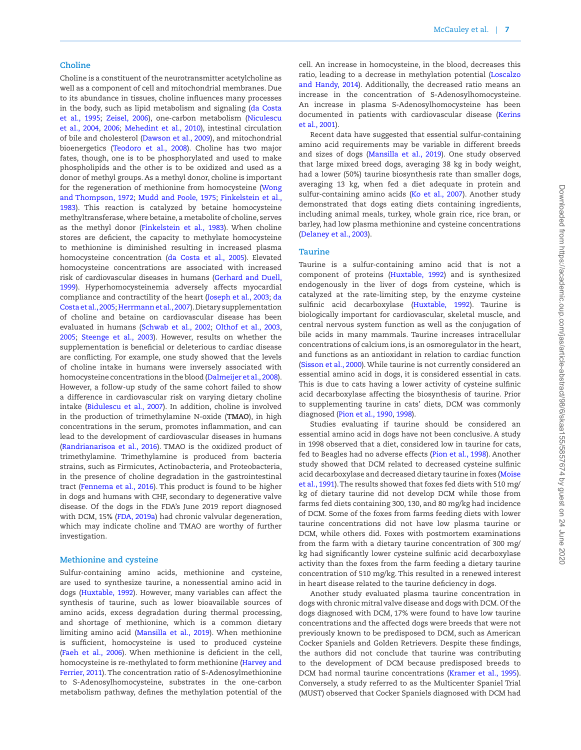#### **Choline**

Choline is a constituent of the neurotransmitter acetylcholine as well as a component of cell and mitochondrial membranes. Due to its abundance in tissues, choline influences many processes in the body, such as lipid metabolism and signaling (da Costa et al., 1995; Zeisel, 2006), one-carbon metabolism (Niculescu et al., 2004, 2006; Mehedint et al., 2010), intestinal circulation of bile and cholesterol (Dawson et al., 2009), and mitochondrial bioenergetics (Teodoro et al., 2008). Choline has two major fates, though, one is to be phosphorylated and used to make phospholipids and the other is to be oxidized and used as a donor of methyl groups. As a methyl donor, choline is important for the regeneration of methionine from homocysteine (Wong and Thompson, 1972; Mudd and Poole, 1975; Finkelstein et al., 1983). This reaction is catalyzed by betaine homocysteine methyltransferase, where betaine, a metabolite of choline, serves as the methyl donor (Finkelstein et al., 1983). When choline stores are deficient, the capacity to methylate homocysteine to methionine is diminished resulting in increased plasma homocysteine concentration (da Costa et al., 2005). Elevated homocysteine concentrations are associated with increased risk of cardiovascular diseases in humans (Gerhard and Duell, 1999). Hyperhomocysteinemia adversely affects myocardial compliance and contractility of the heart (Joseph et al., 2003; da Costa et al., 2005; Herrmann et al., 2007). Dietary supplementation of choline and betaine on cardiovascular disease has been evaluated in humans (Schwab et al., 2002; Olthof et al., 2003, 2005; Steenge et al., 2003). However, results on whether the supplementation is beneficial or deleterious to cardiac disease are conflicting. For example, one study showed that the levels of choline intake in humans were inversely associated with homocysteine concentrations in the blood (Dalmeijer et al., 2008). However, a follow-up study of the same cohort failed to show a difference in cardiovascular risk on varying dietary choline intake (Bidulescu et al., [200](#page-13-0)7). In addition, choline is involved in the production of trimethylamine N-oxide (**TMAO**), in high concentrations in the serum, promotes inflammation, and can lead to the development of cardiovascular diseases in humans (Randrianarisoa et al., 2016). TMAO is the oxidized product of trimethylamine. Trimethylamine is produced from bacteria strains, such as Firmicutes, Actinobacteria, and Proteobacteria, in the presence of choline degradation in the gastrointestinal tract (Fennema et al., 2016). This product is found to be higher in dogs and humans with CHF, secondary to degenerative valve disease. Of the dogs in the FDA's June 2019 report diagnosed with DCM, 15% (FDA, 2019a) had chronic valvular degeneration, which may indicate choline and TMAO are worthy of further investigation.

#### **Methionine and cysteine**

Sulfur-containing amino acids, methionine and cysteine, are used to synthesize taurine, a nonessential amino acid in dogs (Huxtable, 1992). However, many variables can affect the synthesis of taurine, such as lower bioavailable sources of amino acids, excess degradation during thermal processing, and shortage of methionine, which is a common dietary limiting amino acid (Mansilla et al., 2019). When methionine is sufficient, homocysteine is used to produced cysteine (Faeh et al., 2006). When methionine is deficient in the cell, homocysteine is re-methylated to form methionine (Harvey and Ferrier, 2011). The concentration ratio of S-Adenosylmethionine to S-Adenosylhomocysteine, substrates in the one-carbon metabolism pathway, defines the methylation potential of the

cell. An increase in homocysteine, in the blood, decreases this ratio, leading to a decrease in methylation potential (Loscalzo and Handy, 2014). Additionally, the decreased ratio means an increase in the concentration of S-Adenosylhomocysteine. An increase in plasma S-Adenosylhomocysteine has been documented in patients with cardiovascular disease (Kerins et al., 2001).

Recent data have suggested that essential sulfur-containing amino acid requirements may be variable in different breeds and sizes of dogs (Mansilla et al., 2019). One study observed that large mixed breed dogs, averaging 38 kg in body weight, had a lower (50%) taurine biosynthesis rate than smaller dogs, averaging 13 kg, when fed a diet adequate in protein and sulfur-containing amino acids (Ko et al., 2007). Another study demonstrated that dogs eating diets containing ingredients, including animal meals, turkey, whole grain rice, rice bran, or barley, had low plasma methionine and cysteine concentrations (Delaney et al., 2003).

## **Taurine**

Taurine is a sulfur-containing amino acid that is not a component of proteins (Huxtable, 1992) and is synthesized endogenously in the liver of dogs from cysteine, which is catalyzed at the rate-limiting step, by the enzyme cysteine sulfinic acid decarboxylase (Huxtable, 1992). Taurine is biologically important for cardiovascular, skeletal muscle, and central nervous system function as well as the conjugation of bile acids in many mammals. Taurine increases intracellular concentrations of calcium ions, is an osmoregulator in the heart, and functions as an antioxidant in relation to cardiac function (Sisson et al., 2000). While taurine is not currently considered an essential amino acid in dogs, it is considered essential in cats. This is due to cats having a lower activity of cysteine sulfinic acid decarboxylase affecting the biosynthesis of taurine. Prior to supplementing taurine in cats' diets, DCM was commonly diagnosed (Pion et al., 1990, 1998).

Studies evaluating if taurine should be considered an essential amino acid in dogs have not been conclusive. A study in 1998 observed that a diet, considered low in taurine for cats, fed to Beagles had no adverse effects (Pion et al., 1998). Another study showed that DCM related to decreased cysteine sulfinic acid decarboxylase and decreased dietary taurine in foxes (Moise et al., 1991). The results showed that foxes fed diets with 510 mg/ kg of dietary taurine did not develop DCM while those from farms fed diets containing 300, 130, and 80 mg/kg had incidence of DCM. Some of the foxes from farms feeding diets with lower taurine concentrations did not have low plasma taurine or DCM, while others did. Foxes with postmortem examinations from the farm with a dietary taurine concentration of 300 mg/ kg had significantly lower cysteine sulfinic acid decarboxylase activity than the foxes from the farm feeding a dietary taurine concentration of 510 mg/kg. This resulted in a renewed interest in heart disease related to the taurine deficiency in dogs.

Another study evaluated plasma taurine concentration in dogs with chronic mitral valve disease and dogs with DCM. Of the dogs diagnosed with DCM, 17% were found to have low taurine concentrations and the affected dogs were breeds that were not previously known to be predisposed to DCM, such as American Cocker Spaniels and Golden Retrievers. Despite these findings, the authors did not conclude that taurine was contributing to the development of DCM because predisposed breeds to DCM had normal taurine concentrations (Kramer et al., 1995). Conversely, a study referred to as the Multicenter Spaniel Trial (MUST) observed that Cocker Spaniels diagnosed with DCM had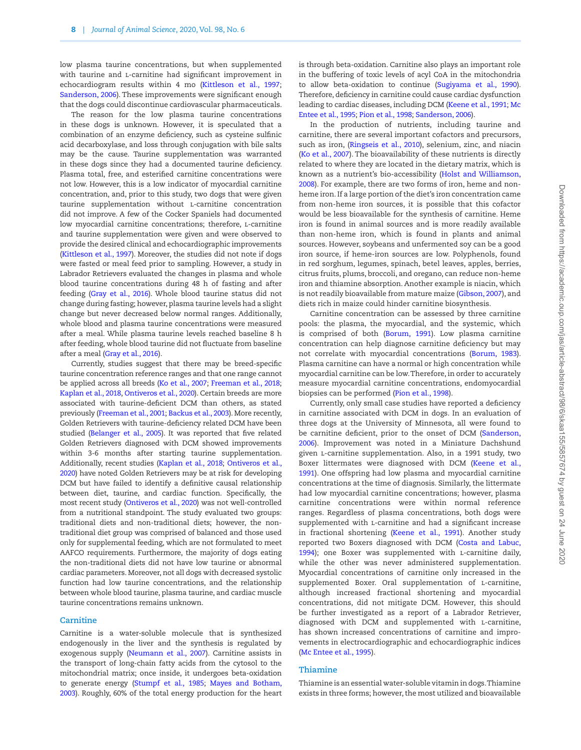low plasma taurine concentrations, but when supplemented with taurine and *L*-carnitine had significant improvement in echocardiogram results within 4 mo (Kittleson et al., 1997; Sanderson, 2006). These improvements were significant enough that the dogs could discontinue cardiovascular pharmaceuticals.

The reason for the low plasma taurine concentrations in these dogs is unknown. However, it is speculated that a combination of an enzyme deficiency, such as cysteine sulfinic acid decarboxylase, and loss through conjugation with bile salts may be the cause. Taurine supplementation was warranted in these dogs since they had a documented taurine deficiency. Plasma total, free, and esterified carnitine concentrations were not low. However, this is a low indicator of myocardial carnitine concentration, and, prior to this study, two dogs that were given taurine supplementation without l-carnitine concentration did not improve. A few of the Cocker Spaniels had documented low myocardial carnitine concentrations; therefore, L-carnitine and taurine supplementation were given and were observed to provide the desired clinical and echocardiographic improvements (Kittleson et al., 1997). Moreover, the studies did not note if dogs were fasted or meal feed prior to sampling. However, a study in Labrador Retrievers evaluated the changes in plasma and whole blood taurine concentrations during 48 h of fasting and after feeding (Gray et al., 2016). Whole blood taurine status did not change during fasting; however, plasma taurine levels had a slight change but never decreased below normal ranges. Additionally, whole blood and plasma taurine concentrations were measured after a meal. While plasma taurine levels reached baseline 8 h after feeding, whole blood taurine did not fluctuate from baseline after a meal (Gray et al., 2016).

Currently, studies suggest that there may be breed-specific taurine concentration reference ranges and that one range cannot be applied across all breeds (Ko et al., 2007; Freeman et al., 2018; Kaplan et al., 2018, Ontiveros et al., 2020). Certain breeds are more associated with taurine-deficient DCM than others, as stated previously (Freeman et al., 2001; Backus et al., 2003). More recently, Golden Retrievers with taurine-deficiency related DCM have been studied (Belanger et al., 2005). It was reported that five related Golden Retrievers diagnosed with DCM showed improvements within 3-6 months after starting taurine supplementation. Additionally, recent studies (Kaplan et al., 2018; Ontiveros et al., 2020) have noted Golden Retrievers may be at risk for developing DCM but have failed to identify a definitive causal relationship between diet, taurine, and cardiac function. Specifically, the most recent study (Ontiveros et al., 2020) was not well-controlled from a nutritional standpoint. The study evaluated two groups: traditional diets and non-traditional diets; however, the nontraditional diet group was comprised of balanced and those used only for supplemental feeding, which are not formulated to meet AAFCO requirements. Furthermore, the majority of dogs eating the non-traditional diets did not have low taurine or abnormal cardiac parameters. Moreover, not all dogs with decreased systolic function had low taurine concentrations, and the relationship between whole blood taurine, plasma taurine, and cardiac muscle taurine concentrations remains unknown.

#### **Carnitine**

Carnitine is a water-soluble molecule that is synthesized endogenously in the liver and the synthesis is regulated by exogenous supply (Neumann et al., 2007). Carnitine assists in the transport of long-chain fatty acids from the cytosol to the mitochondrial matrix; once inside, it undergoes beta-oxidation to generate energy (Stumpf et al., 1985; Mayes and Botham, 2003). Roughly, 60% of the total energy production for the heart is through beta-oxidation. Carnitine also plays an important role in the buffering of toxic levels of acyl CoA in the mitochondria to allow beta-oxidation to continue (Sugiyama et al., 1990). Therefore, deficiency in carnitine could cause cardiac dysfunction leading to cardiac diseases, including DCM (Keene et al., [199](#page-16-0)1; Mc Entee et al., 1995; Pion et al., 1998; Sanderson, 2006).

In the production of nutrients, including taurine and carnitine, there are several important cofactors and precursors, such as iron, (Ringseis et al., 2010), selenium, zinc, and niacin (Ko et al., 2007). The bioavailability of these nutrients is directly related to where they are located in the dietary matrix, which is known as a nutrient's bio-accessibility (Holst and Williamson, 2008). For example, there are two forms of iron, heme and nonheme iron. If a large portion of the diet's iron concentration came from non-heme iron sources, it is possible that this cofactor would be less bioavailable for the synthesis of carnitine. Heme iron is found in animal sources and is more readily available than non-heme iron, which is found in plants and animal sources. However, soybeans and unfermented soy can be a good iron source, if heme-iron sources are low. Polyphenols, found in red sorghum, legumes, spinach, betel leaves, apples, berries, citrus fruits, plums, broccoli, and oregano, can reduce non-heme iron and thiamine absorption. Another example is niacin, which is not readily bioavailable from mature maize (Gibson, 2007), and diets rich in maize could hinder carnitine biosynthesis.

Carnitine concentration can be assessed by three carnitine pools: the plasma, the myocardial, and the systemic, which is comprised of both (Borum, 1991). Low plasma carnitine concentration can help diagnose carnitine deficiency but may not correlate with myocardial concentrations (Borum, 1983). Plasma carnitine can have a normal or high concentration while myocardial carnitine can be low. Therefore, in order to accurately measure myocardial carnitine concentrations, endomyocardial biopsies can be performed (Pion et al., 1998).

Currently, only small case studies have reported a deficiency in carnitine associated with DCM in dogs. In an evaluation of three dogs at the University of Minnesota, all were found to be carnitine deficient, prior to the onset of DCM (Sanderson, 2006). Improvement was noted in a Miniature Dachshund given l-carnitine supplementation. Also, in a 1991 study, two Boxer littermates were diagnosed with DCM (Keene et al., [1991](#page-16-0)). One offspring had low plasma and myocardial carnitine concentrations at the time of diagnosis. Similarly, the littermate had low myocardial carnitine concentrations; however, plasma carnitine concentrations were within normal reference ranges. Regardless of plasma concentrations, both dogs were supplemented with L-carnitine and had a significant increase in fractional shortening (Keene et al., 1[99](#page-16-0)1). Another study reported two Boxers diagnosed with DCM (Costa and Labuc, 1994); one Boxer was supplemented with L-carnitine daily, while the other was never administered supplementation. Myocardial concentrations of carnitine only increased in the supplemented Boxer. Oral supplementation of L-carnitine, although increased fractional shortening and myocardial concentrations, did not mitigate DCM. However, this should be further investigated as a report of a Labrador Retriever, diagnosed with DCM and supplemented with l-carnitine, has shown increased concentrations of carnitine and improvements in electrocardiographic and echocardiographic indices (Mc Entee et al., 1995).

#### **Thiamine**

Thiamine is an essential water-soluble vitamin in dogs. Thiamine exists in three forms; however, the most utilized and bioavailable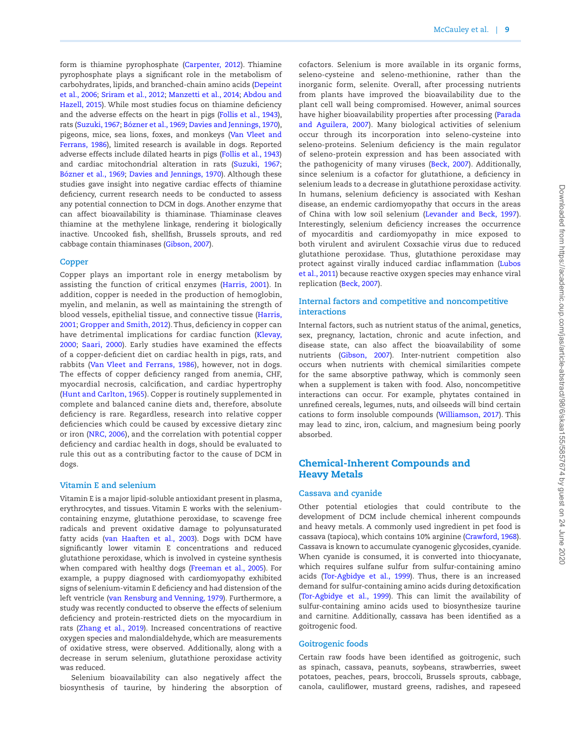form is thiamine pyrophosphate (Carpenter, 2012). Thiamine pyrophosphate plays a significant role in the metabolism of carbohydrates, lipids, and branched-chain amino acids (Depeint et al., 2006; Sriram et al., 2012; Manzetti et al., 2014; Abdou and Hazell, 2[01](#page-13-1)5). While most studies focus on thiamine deficiency and the adverse effects on the heart in pigs (Follis et al., 1943), rats (Suzuki, [196](#page-18-0)7; Bózner et al., 1969; Davies and Jennings, 1970), pigeons, mice, sea lions, foxes, and monkeys (Van Vleet and Ferrans, 1986), limited research is available in dogs. Reported adverse effects include dilated hearts in pigs (Follis et al., 1943) and cardiac mitochondrial alteration in rats (Suzuki, [1967](#page-18-0); Bózner et al., 1969; Davies and Jennings, 1970). Although these studies gave insight into negative cardiac effects of thiamine deficiency, current research needs to be conducted to assess any potential connection to DCM in dogs. Another enzyme that can affect bioavailability is thiaminase. Thiaminase cleaves thiamine at the methylene linkage, rendering it biologically inactive. Uncooked fish, shellfish, Brussels sprouts, and red cabbage contain thiaminases (Gibson, 2007).

## **Copper**

Copper plays an important role in energy metabolism by assisting the function of critical enzymes (Harris, 2001). In addition, copper is needed in the production of hemoglobin, myelin, and melanin, as well as maintaining the strength of blood vessels, epithelial tissue, and connective tissue (Harris, 2001; Gropper and Smith, 2012). Thus, deficiency in copper can have detrimental implications for cardiac function (Klevay, 2000; Saari, 2000). Early studies have examined the effects of a copper-deficient diet on cardiac health in pigs, rats, and rabbits (Van Vleet and Ferrans, 1986), however, not in dogs. The effects of copper deficiency ranged from anemia, CHF, myocardial necrosis, calcification, and cardiac hypertrophy (Hunt and Carlton, 1965). Copper is routinely supplemented in complete and balanced canine diets and, therefore, absolute deficiency is rare. Regardless, research into relative copper deficiencies which could be caused by excessive dietary zinc or iron (NRC, 2006), and the correlation with potential copper deficiency and cardiac health in dogs, should be evaluated to rule this out as a contributing factor to the cause of DCM in dogs.

#### **Vitamin E and selenium**

Vitamin E is a major lipid-soluble antioxidant present in plasma, erythrocytes, and tissues. Vitamin E works with the seleniumcontaining enzyme, glutathione peroxidase, to scavenge free radicals and prevent oxidative damage to polyunsaturated fatty acids (van Haaften et al., 2003). Dogs with DCM have significantly lower vitamin E concentrations and reduced glutathione peroxidase, which is involved in cysteine synthesis when compared with healthy dogs (Freeman et al., 2005). For example, a puppy diagnosed with cardiomyopathy exhibited signs of selenium-vitamin E deficiency and had distension of the left ventricle (van Rensburg and Venning, 1979). Furthermore, a study was recently conducted to observe the effects of selenium deficiency and protein-restricted diets on the myocardium in rats (Zhang et al., 2019). Increased concentrations of reactive oxygen species and malondialdehyde, which are measurements of oxidative stress, were observed. Additionally, along with a decrease in serum selenium, glutathione peroxidase activity was reduced.

Selenium bioavailability can also negatively affect the biosynthesis of taurine, by hindering the absorption of cofactors. Selenium is more available in its organic forms, seleno-cysteine and seleno-methionine, rather than the inorganic form, selenite. Overall, after processing nutrients from plants have improved the bioavailability due to the plant cell wall being compromised. However, animal sources have higher bioavailability properties after processing (Parada and Aguilera, 2007). Many biological activities of selenium occur through its incorporation into seleno-cysteine into seleno-proteins. Selenium deficiency is the main regulator of seleno-protein expression and has been associated with the pathogenicity of many viruses (Beck, 2007). Additionally, since selenium is a cofactor for glutathione, a deficiency in selenium leads to a decrease in glutathione peroxidase activity. In humans, selenium deficiency is associated with Keshan disease, an endemic cardiomyopathy that occurs in the areas of China with low soil selenium (Levander and Beck, 1997). Interestingly, selenium deficiency increases the occurrence of myocarditis and cardiomyopathy in mice exposed to both virulent and avirulent Coxsachie virus due to reduced glutathione peroxidase. Thus, glutathione peroxidase may protect against virally induced cardiac inflammation (Lubos et al., 2011) because reactive oxygen species may enhance viral replication (Beck, 2007).

## **Internal factors and competitive and noncompetitive interactions**

Internal factors, such as nutrient status of the animal, genetics, sex, pregnancy, lactation, chronic and acute infection, and disease state, can also affect the bioavailability of some nutrients (Gibson, 2007). Inter-nutrient competition also occurs when nutrients with chemical similarities compete for the same absorptive pathway, which is commonly seen when a supplement is taken with food. Also, noncompetitive interactions can occur. For example, phytates contained in unrefined cereals, legumes, nuts, and oilseeds will bind certain cations to form insoluble compounds (Williamson, 2017). This may lead to zinc, iron, calcium, and magnesium being poorly absorbed.

## Chemical-Inherent Compounds and Heavy Metals

#### **Cassava and cyanide**

Other potential etiologies that could contribute to the development of DCM include chemical inherent compounds and heavy metals. A commonly used ingredient in pet food is cassava (tapioca), which contains 10% arginine (Crawford, 1968). Cassava is known to accumulate cyanogenic glycosides, cyanide. When cyanide is consumed, it is converted into thiocyanate, which requires sulfane sulfur from sulfur-containing amino acids (Tor-Agbidye et al., 1999). Thus, there is an increased demand for sulfur-containing amino acids during detoxification (Tor-Agbidye et al., 1999). This can limit the availability of sulfur-containing amino acids used to biosynthesize taurine and carnitine. Additionally, cassava has been identified as a goitrogenic food.

#### **Goitrogenic foods**

Certain raw foods have been identified as goitrogenic, such as spinach, cassava, peanuts, soybeans, strawberries, sweet potatoes, peaches, pears, broccoli, Brussels sprouts, cabbage, canola, cauliflower, mustard greens, radishes, and rapeseed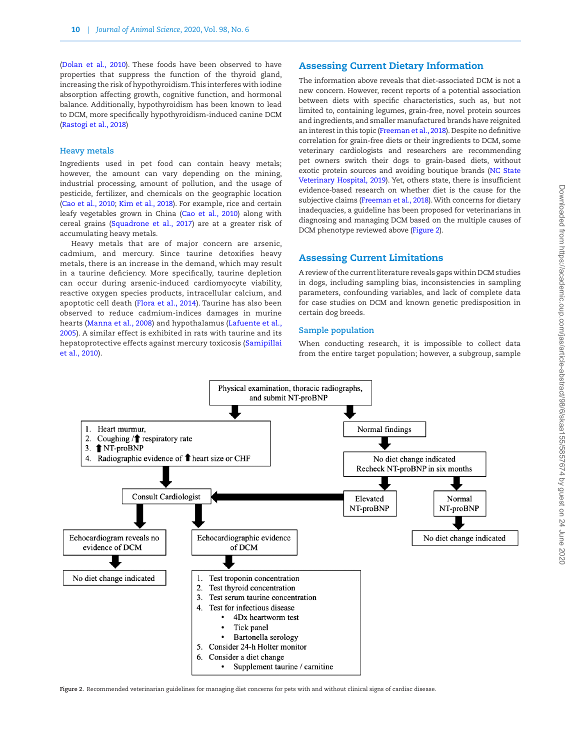(Dolan et al., 2010). These foods have been observed to have properties that suppress the function of the thyroid gland, increasing the risk of hypothyroidism. This interferes with iodine absorption affecting growth, cognitive function, and hormonal balance. Additionally, hypothyroidism has been known to lead to DCM, more specifically hypothyroidism-induced canine DCM (Rastogi et al., 2018)

#### **Heavy metals**

Ingredients used in pet food can contain heavy metals; however, the amount can vary depending on the mining, industrial processing, amount of pollution, and the usage of pesticide, fertilizer, and chemicals on the geographic location (Cao et al., 2010; Kim et al., 2018). For example, rice and certain leafy vegetables grown in China (Cao et al., 2010) along with cereal grains (Squadrone et al., 2017) are at a greater risk of accumulating heavy metals.

Heavy metals that are of major concern are arsenic, cadmium, and mercury. Since taurine detoxifies heavy metals, there is an increase in the demand, which may result in a taurine deficiency. More specifically, taurine depletion can occur during arsenic-induced cardiomyocyte viability, reactive oxygen species products, intracellular calcium, and apoptotic cell death (Flora et al., 2014). Taurine has also been observed to reduce cadmium-indices damages in murine hearts (Manna et al., 2008) and hypothalamus (Lafuente et al., 2005). A similar effect is exhibited in rats with taurine and its hepatoprotective effects against mercury toxicosis (Samipillai et al., 2010).

## Assessing Current Dietary Information

The information above reveals that diet-associated DCM is not a new concern. However, recent reports of a potential association between diets with specific characteristics, such as, but not limited to, containing legumes, grain-free, novel protein sources and ingredients, and smaller manufactured brands have reignited an interest in this topic (Freeman et al., 2018). Despite no definitive correlation for grain-free diets or their ingredients to DCM, some veterinary cardiologists and researchers are recommending pet owners switch their dogs to grain-based diets, without exotic protein sources and avoiding boutique brands (NC State Veterinary Hospital, 2019). Yet, others state, there is insufficient evidence-based research on whether diet is the cause for the subjective claims (Freeman et al., 2018). With concerns for dietary inadequacies, a guideline has been proposed for veterinarians in diagnosing and managing DCM based on the multiple causes of DCM phenotype reviewed above [\(Figure 2](#page-9-0)).

## Assessing Current Limitations

A review of the current literature reveals gaps within DCM studies in dogs, including sampling bias, inconsistencies in sampling parameters, confounding variables, and lack of complete data for case studies on DCM and known genetic predisposition in certain dog breeds.

## **Sample population**

When conducting research, it is impossible to collect data from the entire target population; however, a subgroup, sample



<span id="page-9-0"></span>**Figure 2.** Recommended veterinarian guidelines for managing diet concerns for pets with and without clinical signs of cardiac disease.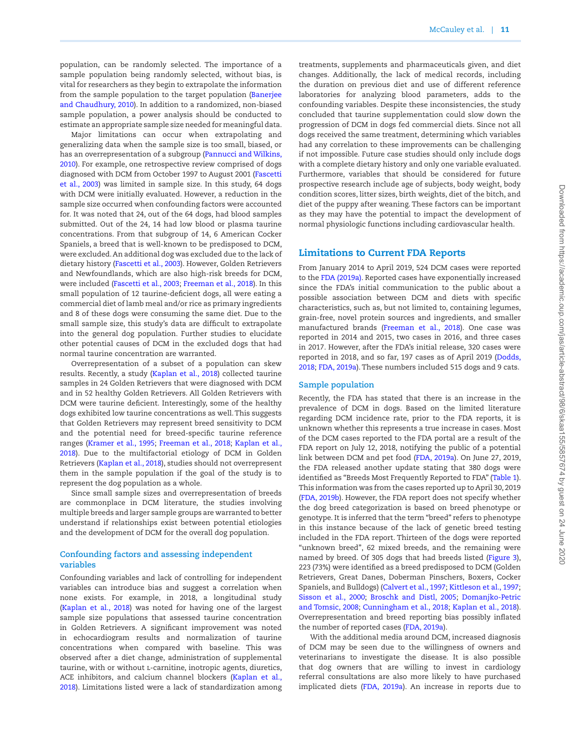population, can be randomly selected. The importance of a sample population being randomly selected, without bias, is vital for researchers as they begin to extrapolate the information from the sample population to the target population (Banerjee and Chaudhury, 2010). In addition to a randomized, non-biased sample population, a power analysis should be conducted to estimate an appropriate sample size needed for meaningful data.

Major limitations can occur when extrapolating and generalizing data when the sample size is too small, biased, or has an overrepresentation of a subgroup (Pannucci and Wilkins, 2010). For example, one retrospective review comprised of dogs diagnosed with DCM from October 1997 to August 2001 (Fascetti et al., 2003) was limited in sample size. In this study, 64 dogs with DCM were initially evaluated. However, a reduction in the sample size occurred when confounding factors were accounted for. It was noted that 24, out of the 64 dogs, had blood samples submitted. Out of the 24, 14 had low blood or plasma taurine concentrations. From that subgroup of 14, 6 American Cocker Spaniels, a breed that is well-known to be predisposed to DCM, were excluded. An additional dog was excluded due to the lack of dietary history (Fascetti et al., 2003). However, Golden Retrievers and Newfoundlands, which are also high-risk breeds for DCM, were included (Fascetti et al., 2003; Freeman et al., 2018). In this small population of 12 taurine-deficient dogs, all were eating a commercial diet of lamb meal and/or rice as primary ingredients and 8 of these dogs were consuming the same diet. Due to the small sample size, this study's data are difficult to extrapolate into the general dog population. Further studies to elucidate other potential causes of DCM in the excluded dogs that had normal taurine concentration are warranted.

Overrepresentation of a subset of a population can skew results. Recently, a study (Kaplan et al., 2018) collected taurine samples in 24 Golden Retrievers that were diagnosed with DCM and in 52 healthy Golden Retrievers. All Golden Retrievers with DCM were taurine deficient. Interestingly, some of the healthy dogs exhibited low taurine concentrations as well. This suggests that Golden Retrievers may represent breed sensitivity to DCM and the potential need for breed-specific taurine reference ranges (Kramer et al., 1995; Freeman et al., 2018; Kaplan et al., 2018). Due to the multifactorial etiology of DCM in Golden Retrievers (Kaplan et al., 2018), studies should not overrepresent them in the sample population if the goal of the study is to represent the dog population as a whole.

Since small sample sizes and overrepresentation of breeds are commonplace in DCM literature, the studies involving multiple breeds and larger sample groups are warranted to better understand if relationships exist between potential etiologies and the development of DCM for the overall dog population.

## **Confounding factors and assessing independent variables**

Confounding variables and lack of controlling for independent variables can introduce bias and suggest a correlation when none exists. For example, in 2018, a longitudinal study (Kaplan et al., 2018) was noted for having one of the largest sample size populations that assessed taurine concentration in Golden Retrievers. A significant improvement was noted in echocardiogram results and normalization of taurine concentrations when compared with baseline. This was observed after a diet change, administration of supplemental taurine, with or without l-carnitine, inotropic agents, diuretics, ACE inhibitors, and calcium channel blockers (Kaplan et al., 2018). Limitations listed were a lack of standardization among

treatments, supplements and pharmaceuticals given, and diet changes. Additionally, the lack of medical records, including the duration on previous diet and use of different reference laboratories for analyzing blood parameters, adds to the confounding variables. Despite these inconsistencies, the study concluded that taurine supplementation could slow down the progression of DCM in dogs fed commercial diets. Since not all dogs received the same treatment, determining which variables had any correlation to these improvements can be challenging if not impossible. Future case studies should only include dogs with a complete dietary history and only one variable evaluated. Furthermore, variables that should be considered for future prospective research include age of subjects, body weight, body condition scores, litter sizes, birth weights, diet of the bitch, and diet of the puppy after weaning. These factors can be important as they may have the potential to impact the development of normal physiologic functions including cardiovascular health.

## Limitations to Current FDA Reports

From January 2014 to April 2019, 524 DCM cases were reported to the FDA (2019a). Reported cases have exponentially increased since the FDA's initial communication to the public about a possible association between DCM and diets with specific characteristics, such as, but not limited to, containing legumes, grain-free, novel protein sources and ingredients, and smaller manufactured brands (Freeman et al., 2018). One case was reported in 2014 and 2015, two cases in 2016, and three cases in 2017. However, after the FDA's initial release, 320 cases were reported in 2018, and so far, 197 cases as of April 2019 (Dodds, 2018; FDA, 2019a). These numbers included 515 dogs and 9 cats.

#### **Sample population**

Recently, the FDA has stated that there is an increase in the prevalence of DCM in dogs. Based on the limited literature regarding DCM incidence rate, prior to the FDA reports, it is unknown whether this represents a true increase in cases. Most of the DCM cases reported to the FDA portal are a result of the FDA report on July 12, 2018, notifying the public of a potential link between DCM and pet food (FDA, 2019a). On June 27, 2019, the FDA released another update stating that 380 dogs were identified as "Breeds Most Frequently Reported to FDA" [\(Table 1\)](#page-11-0). This information was from the cases reported up to April 30, 2019 (FDA, 2019b). However, the FDA report does not specify whether the dog breed categorization is based on breed phenotype or genotype. It is inferred that the term "breed" refers to phenotype in this instance because of the lack of genetic breed testing included in the FDA report. Thirteen of the dogs were reported "unknown breed", 62 mixed breeds, and the remaining were named by breed. Of 305 dogs that had breeds listed [\(Figure 3\)](#page-11-1), 223 (73%) were identified as a breed predisposed to DCM (Golden Retrievers, Great Danes, Doberman Pinschers, Boxers, Cocker Spaniels, and Bulldogs) (Calvert et al., 1997; Kittleson et al., 1997; Sisson et al., 2000; Broschk and Distl, 2005; Domanjko-Petric and Tomsic, 2008; Cunningham et al., 2018; Kaplan et al., 2018). Overrepresentation and breed reporting bias possibly inflated the number of reported cases (FDA, 2019a).

With the additional media around DCM, increased diagnosis of DCM may be seen due to the willingness of owners and veterinarians to investigate the disease. It is also possible that dog owners that are willing to invest in cardiology referral consultations are also more likely to have purchased implicated diets (FDA, 2019a). An increase in reports due to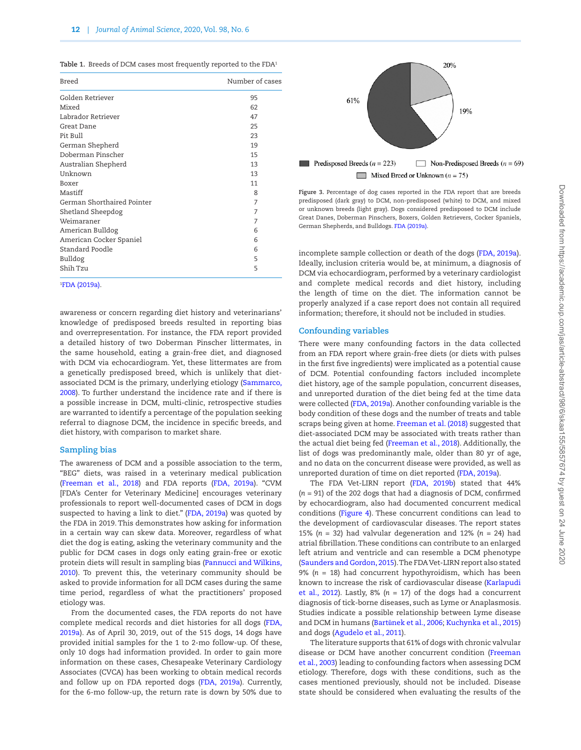<span id="page-11-0"></span>Table 1. Breeds of DCM cases most frequently reported to the FDA<sup>1</sup>

| Breed                      | Number of cases |
|----------------------------|-----------------|
| Golden Retriever           | 95              |
| Mixed                      | 62              |
| Labrador Retriever         | 47              |
| Great Dane                 | 25              |
| Pit Bull                   | 23              |
| German Shepherd            | 19              |
| Doberman Pinscher          | 15              |
| Australian Shepherd        | 13              |
| Unknown                    | 13              |
| Boxer                      | 11              |
| Mastiff                    | 8               |
| German Shorthaired Pointer | 7               |
| Shetland Sheepdog          | 7               |
| Weimaraner                 | 7               |
| American Bulldog           | 6               |
| American Cocker Spaniel    | 6               |
| Standard Poodle            | 6               |
| Bulldog                    | 5               |
| Shih Tzu                   | 5               |
|                            |                 |

#### 1 FDA (2019a).

awareness or concern regarding diet history and veterinarians' knowledge of predisposed breeds resulted in reporting bias and overrepresentation. For instance, the FDA report provided a detailed history of two Doberman Pinscher littermates, in the same household, eating a grain-free diet, and diagnosed with DCM via echocardiogram. Yet, these littermates are from a genetically predisposed breed, which is unlikely that dietassociated DCM is the primary, underlying etiology (Sammarco, 2008). To further understand the incidence rate and if there is a possible increase in DCM, multi-clinic, retrospective studies are warranted to identify a percentage of the population seeking referral to diagnose DCM, the incidence in specific breeds, and diet history, with comparison to market share.

## **Sampling bias**

The awareness of DCM and a possible association to the term, "BEG" diets, was raised in a veterinary medical publication (Freeman et al., 2018) and FDA reports (FDA, 2019a). "CVM [FDA's Center for Veterinary Medicine] encourages veterinary professionals to report well-documented cases of DCM in dogs suspected to having a link to diet." (FDA, 2019a) was quoted by the FDA in 2019. This demonstrates how asking for information in a certain way can skew data. Moreover, regardless of what diet the dog is eating, asking the veterinary community and the public for DCM cases in dogs only eating grain-free or exotic protein diets will result in sampling bias (Pannucci and Wilkins, 2010). To prevent this, the veterinary community should be asked to provide information for all DCM cases during the same time period, regardless of what the practitioners' proposed etiology was.

From the documented cases, the FDA reports do not have complete medical records and diet histories for all dogs (FDA, 2019a). As of April 30, 2019, out of the 515 dogs, 14 dogs have provided initial samples for the 1 to 2-mo follow-up. Of these, only 10 dogs had information provided. In order to gain more information on these cases, Chesapeake Veterinary Cardiology Associates (CVCA) has been working to obtain medical records and follow up on FDA reported dogs (FDA, 2019a). Currently, for the 6-mo follow-up, the return rate is down by 50% due to



<span id="page-11-1"></span>**Figure 3.** Percentage of dog cases reported in the FDA report that are breeds predisposed (dark gray) to DCM, non-predisposed (white) to DCM, and mixed or unknown breeds (light gray). Dogs considered predisposed to DCM include Great Danes, Doberman Pinschers, Boxers, Golden Retrievers, Cocker Spaniels, German Shepherds, and Bulldogs. FDA (2019a).

incomplete sample collection or death of the dogs (FDA, 2019a). Ideally, inclusion criteria would be, at minimum, a diagnosis of DCM via echocardiogram, performed by a veterinary cardiologist and complete medical records and diet history, including the length of time on the diet. The information cannot be properly analyzed if a case report does not contain all required information; therefore, it should not be included in studies.

## **Confounding variables**

There were many confounding factors in the data collected from an FDA report where grain-free diets (or diets with pulses in the first five ingredients) were implicated as a potential cause of DCM. Potential confounding factors included incomplete diet history, age of the sample population, concurrent diseases, and unreported duration of the diet being fed at the time data were collected (FDA, 2019a). Another confounding variable is the body condition of these dogs and the number of treats and table scraps being given at home. Freeman et al. (2018) suggested that diet-associated DCM may be associated with treats rather than the actual diet being fed (Freeman et al., 2018). Additionally, the list of dogs was predominantly male, older than 80 yr of age, and no data on the concurrent disease were provided, as well as unreported duration of time on diet reported (FDA, 2019a).

The FDA Vet-LIRN report (FDA, 2019b) stated that 44% (*n* = 91) of the 202 dogs that had a diagnosis of DCM, confirmed by echocardiogram, also had documented concurrent medical conditions [\(Figure 4](#page-12-0)). These concurrent conditions can lead to the development of cardiovascular diseases. The report states 15% ( $n = 32$ ) had valvular degeneration and 12% ( $n = 24$ ) had atrial fibrillation. These conditions can contribute to an enlarged left atrium and ventricle and can resemble a DCM phenotype (Saunders and Gordon, 2015). The FDA Vet-LIRN report also stated 9% (*n* = 18) had concurrent hypothyroidism, which has been known to increase the risk of cardiovascular disease (Karlapudi et al., 2012). Lastly,  $8\%$  ( $n = 17$ ) of the dogs had a concurrent diagnosis of tick-borne diseases, such as Lyme or Anaplasmosis. Studies indicate a possible relationship between Lyme disease and DCM in humans (Bartůnek et al., 2006; Kuchynka et al., 2015) and dogs (Agudelo et al., 2011).

The literature supports that 61% of dogs with chronic valvular disease or DCM have another concurrent condition (Freeman et al., 2003) leading to confounding factors when assessing DCM etiology. Therefore, dogs with these conditions, such as the cases mentioned previously, should not be included. Disease state should be considered when evaluating the results of the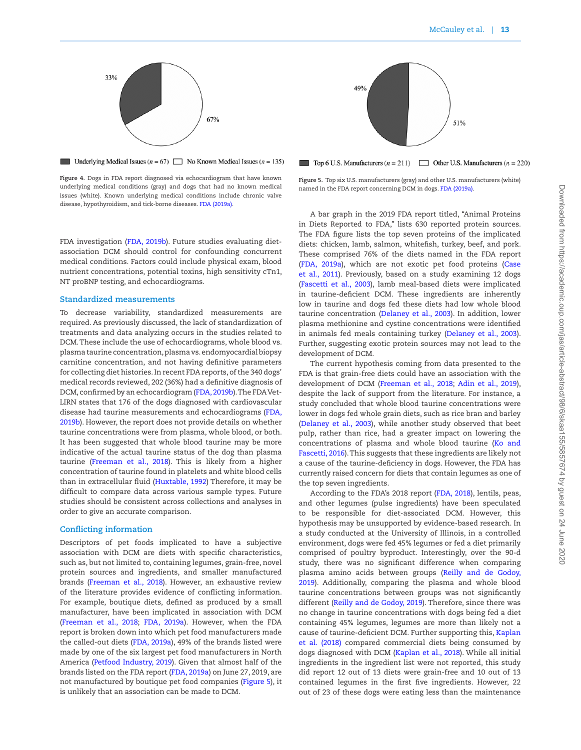

<span id="page-12-0"></span>**Underlying Medical Issues**  $(n = 67)$  No Known Medical Issues  $(n = 135)$ 

**Figure 4.** Dogs in FDA report diagnosed via echocardiogram that have known underlying medical conditions (gray) and dogs that had no known medical issues (white). Known underlying medical conditions include chronic valve disease, hypothyroidism, and tick-borne diseases. FDA (2019a).

FDA investigation (FDA, 2019b). Future studies evaluating dietassociation DCM should control for confounding concurrent medical conditions. Factors could include physical exam, blood nutrient concentrations, potential toxins, high sensitivity cTn1, NT proBNP testing, and echocardiograms.

#### **Standardized measurements**

To decrease variability, standardized measurements are required. As previously discussed, the lack of standardization of treatments and data analyzing occurs in the studies related to DCM. These include the use of echocardiograms, whole blood vs. plasma taurine concentration, plasma vs. endomyocardial biopsy carnitine concentration, and not having definitive parameters for collecting diet histories. In recent FDA reports, of the 340 dogs' medical records reviewed, 202 (36%) had a definitive diagnosis of DCM, confirmed by an echocardiogram (FDA, 2019b). The FDA Vet-LIRN states that 176 of the dogs diagnosed with cardiovascular disease had taurine measurements and echocardiograms (FDA, 2019b). However, the report does not provide details on whether taurine concentrations were from plasma, whole blood, or both. It has been suggested that whole blood taurine may be more indicative of the actual taurine status of the dog than plasma taurine (Freeman et al., 2018). This is likely from a higher concentration of taurine found in platelets and white blood cells than in extracellular fluid (Huxtable, 1992) Therefore, it may be difficult to compare data across various sample types. Future studies should be consistent across collections and analyses in order to give an accurate comparison.

#### **Conflicting information**

Descriptors of pet foods implicated to have a subjective association with DCM are diets with specific characteristics, such as, but not limited to, containing legumes, grain-free, novel protein sources and ingredients, and smaller manufactured brands (Freeman et al., 2018). However, an exhaustive review of the literature provides evidence of conflicting information. For example, boutique diets, defined as produced by a small manufacturer, have been implicated in association with DCM (Freeman et al., 2018; FDA, 2019a). However, when the FDA report is broken down into which pet food manufacturers made the called-out diets (FDA, 2019a), 49% of the brands listed were made by one of the six largest pet food manufacturers in North America (Petfood Industry, 2019). Given that almost half of the brands listed on the FDA report (FDA, 2019a) on June 27, 2019, are not manufactured by boutique pet food companies [\(Figure 5](#page-12-1)), it is unlikely that an association can be made to DCM.



<span id="page-12-1"></span>Top 6 U.S. Manufacturers  $(n = 211)$  Other U.S. Manufacturers  $(n = 220)$ 

**Figure 5.** Top six U.S. manufacturers (gray) and other U.S. manufacturers (white) named in the FDA report concerning DCM in dogs. FDA (2019a).

A bar graph in the 2019 FDA report titled, "Animal Proteins in Diets Reported to FDA," lists 630 reported protein sources. The FDA figure lists the top seven proteins of the implicated diets: chicken, lamb, salmon, whitefish, turkey, beef, and pork. These comprised 76% of the diets named in the FDA report (FDA, 2019a), which are not exotic pet food proteins (Case et al., 2011). Previously, based on a study examining 12 dogs (Fascetti et al., 2003), lamb meal-based diets were implicated in taurine-deficient DCM. These ingredients are inherently low in taurine and dogs fed these diets had low whole blood taurine concentration (Delaney et al., 2003). In addition, lower plasma methionine and cystine concentrations were identified in animals fed meals containing turkey (Delaney et al., 2003). Further, suggesting exotic protein sources may not lead to the development of DCM.

The current hypothesis coming from data presented to the FDA is that grain-free diets could have an association with the development of DCM (Freeman et al., 2018; Adin et al., [2](#page-13-2)019), despite the lack of support from the literature. For instance, a study concluded that whole blood taurine concentrations were lower in dogs fed whole grain diets, such as rice bran and barley (Delaney et al., 2003), while another study observed that beet pulp, rather than rice, had a greater impact on lowering the concentrations of plasma and whole blood taurine (Ko and Fascetti, 2016). This suggests that these ingredients are likely not a cause of the taurine-deficiency in dogs. However, the FDA has currently raised concern for diets that contain legumes as one of the top seven ingredients.

According to the FDA's 2018 report (FDA, 2018), lentils, peas, and other legumes (pulse ingredients) have been speculated to be responsible for diet-associated DCM. However, this hypothesis may be unsupported by evidence-based research. In a study conducted at the University of Illinois, in a controlled environment, dogs were fed 45% legumes or fed a diet primarily comprised of poultry byproduct. Interestingly, over the 90-d study, there was no significant difference when comparing plasma amino acids between groups (Reilly and de Godoy, 2019). Additionally, comparing the plasma and whole blood taurine concentrations between groups was not significantly different (Reilly and de Godoy, 2019). Therefore, since there was no change in taurine concentrations with dogs being fed a diet containing 45% legumes, legumes are more than likely not a cause of taurine-deficient DCM. Further supporting this, Kaplan et al. (2018) compared commercial diets being consumed by dogs diagnosed with DCM (Kaplan et al., 2018). While all initial ingredients in the ingredient list were not reported, this study did report 12 out of 13 diets were grain-free and 10 out of 13 contained legumes in the first five ingredients. However, 22 out of 23 of these dogs were eating less than the maintenance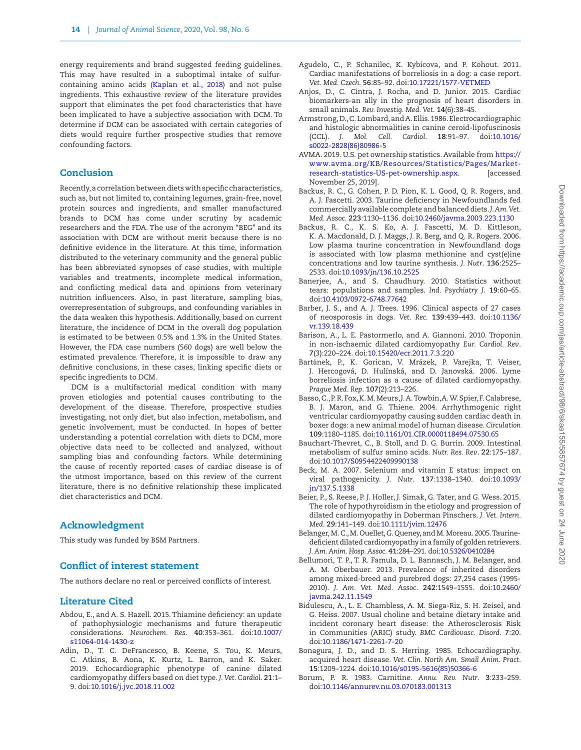energy requirements and brand suggested feeding guidelines. This may have resulted in a suboptimal intake of sulfurcontaining amino acids (Kaplan et al., 2018) and not pulse ingredients. This exhaustive review of the literature provides support that eliminates the pet food characteristics that have been implicated to have a subjective association with DCM. To determine if DCM can be associated with certain categories of diets would require further prospective studies that remove confounding factors.

## Conclusion

Recently, a correlation between diets with specific characteristics, such as, but not limited to, containing legumes, grain-free, novel protein sources and ingredients, and smaller manufactured brands to DCM has come under scrutiny by academic researchers and the FDA. The use of the acronym "BEG" and its association with DCM are without merit because there is no definitive evidence in the literature. At this time, information distributed to the veterinary community and the general public has been abbreviated synopses of case studies, with multiple variables and treatments, incomplete medical information, and conflicting medical data and opinions from veterinary nutrition influencers. Also, in past literature, sampling bias, overrepresentation of subgroups, and confounding variables in the data weaken this hypothesis. Additionally, based on current literature, the incidence of DCM in the overall dog population is estimated to be between 0.5% and 1.3% in the United States. However, the FDA case numbers (560 dogs) are well below the estimated prevalence. Therefore, it is impossible to draw any definitive conclusions, in these cases, linking specific diets or specific ingredients to DCM.

DCM is a multifactorial medical condition with many proven etiologies and potential causes contributing to the development of the disease. Therefore, prospective studies investigating, not only diet, but also infection, metabolism, and genetic involvement, must be conducted. In hopes of better understanding a potential correlation with diets to DCM, more objective data need to be collected and analyzed, without sampling bias and confounding factors. While determining the cause of recently reported cases of cardiac disease is of the utmost importance, based on this review of the current literature, there is no definitive relationship these implicated diet characteristics and DCM.

#### Acknowledgment

This study was funded by BSM Partners.

## Conflict of interest statement

The authors declare no real or perceived conflicts of interest.

## Literature Cited

- <span id="page-13-1"></span>Abdou, E., and A. S. Hazell. 2015. Thiamine deficiency: an update of pathophysiologic mechanisms and future therapeutic considerations. *Neurochem. Res*. **40**:353–361. doi[:10.1007/](https://doi.org/10.1007/s11064-014-1430-z) [s11064-014-1430-z](https://doi.org/10.1007/s11064-014-1430-z)
- <span id="page-13-2"></span>Adin, D., T. C. DeFrancesco, B. Keene, S. Tou, K. Meurs, C. Atkins, B. Aona, K. Kurtz, L. Barron, and K. Saker. 2019. Echocardiographic phenotype of canine dilated cardiomyopathy differs based on diet type. *J. Vet. Cardiol*. **21**:1– 9. doi:[10.1016/j.jvc.2018.11.002](https://doi.org/10.1016/j.jvc.2018.11.002)
- Agudelo, C., P. Schanilec, K. Kybicova, and P. Kohout. 2011. Cardiac manifestations of borreliosis in a dog: a case report. *Vet. Med. Czech*. **56**:85–92. doi[:10.17221/1577-VETMED](https://doi.org/10.17221/1577-VETMED)
- Anjos, D., C. Cintra, J. Rocha, and D. Junior. 2015. Cardiac biomarkers-an ally in the prognosis of heart disorders in small animals. *Rev. Investig. Med. Vet*. **14**(6):38–45.
- Armstrong, D., C. Lombard, and A. Ellis. 1986. Electrocardiographic and histologic abnormalities in canine ceroid-lipofuscinosis (CCL). *J. Mol. Cell. Cardiol*. **18**:91–97. doi[:10.1016/](https://doi.org/10.1016/s0022-2828(86)80986-5) [s0022-2828\(86\)80986-5](https://doi.org/10.1016/s0022-2828(86)80986-5)
- AVMA. 2019. U.S. pet ownership statistics. Available from [https://](https://www.avma.org/KB/Resources/Statistics/Pages/Market-research-statistics-US-pet-ownership.aspx) [www.avma.org/KB/Resources/Statistics/Pages/Market](https://www.avma.org/KB/Resources/Statistics/Pages/Market-research-statistics-US-pet-ownership.aspx)[research-statistics-US-pet-ownership.aspx.](https://www.avma.org/KB/Resources/Statistics/Pages/Market-research-statistics-US-pet-ownership.aspx) [accessed November 25, 2019].
- Backus, R. C., G. Cohen, P. D. Pion, K. L. Good, Q. R. Rogers, and A. J. Fascetti. 2003. Taurine deficiency in Newfoundlands fed commercially available complete and balanced diets. *J. Am. Vet. Med. Assoc*. **223**:1130–1136. doi:[10.2460/javma.2003.223.1130](https://doi.org/10.2460/javma.2003.223.1130)
- Backus, R. C., K. S. Ko, A. J. Fascetti, M. D. Kittleson, K. A. Macdonald, D. J. Maggs, J. R. Berg, and Q. R. Rogers. 2006. Low plasma taurine concentration in Newfoundland dogs is associated with low plasma methionine and cyst(e)ine concentrations and low taurine synthesis. *J. Nutr*. **136**:2525– 2533. doi[:10.1093/jn/136.10.2525](https://doi.org/10.1093/jn/136.10.2525)
- Banerjee, A., and S. Chaudhury. 2010. Statistics without tears: populations and samples. *Ind. Psychiatry J*. **19**:60–65. doi:[10.4103/0972-6748.77642](https://doi.org/10.4103/0972-6748.77642)
- Barber, J. S., and A. J. Trees. 1996. Clinical aspects of 27 cases of neosporosis in dogs. *Vet. Rec*. **139**:439–443. doi[:10.1136/](https://doi.org/10.1136/vr.139.18.439) [vr.139.18.439](https://doi.org/10.1136/vr.139.18.439)
- Barison, A., L. E. Pastormerlo, and A. Giannoni. 2010. Troponin in non-ischaemic dilated cardiomyopathy *Eur. Cardiol. Rev*. **7**(3):220–224. doi:[10.15420/ecr.2011.7.3.220](https://doi.org/10.15420/ecr.2011.7.3.220)
- Bartůnek, P., K. Gorican, V. Mrázek, P. Varejka, T. Veiser, J. Hercogová, D. Hulínská, and D. Janovská. 2006. Lyme borreliosis infection as a cause of dilated cardiomyopathy. *Prague Med. Rep*. **107**(2):213–226.
- Basso, C., P. R. Fox, K. M. Meurs, J. A. Towbin, A. W. Spier, F. Calabrese, B. J. Maron, and G. Thiene. 2004. Arrhythmogenic right ventricular cardiomyopathy causing sudden cardiac death in boxer dogs: a new animal model of human disease. *Circulation* **109**:1180–1185. doi[:10.1161/01.CIR.0000118494.07530.65](https://doi.org/10.1161/01.CIR.0000118494.07530.65)
- Bauchart-Thevret, C., B. Stoll, and D. G. Burrin. 2009. Intestinal metabolism of sulfur amino acids. *Nutr. Res. Rev*. **22**:175–187. doi:[10.1017/S0954422409990138](https://doi.org/10.1017/S0954422409990138)
- Beck, M. A. 2007. Selenium and vitamin E status: impact on viral pathogenicity. *J. Nutr*. **137**:1338–1340. doi[:10.1093/](https://doi.org/10.1093/jn/137.5.1338) [jn/137.5.1338](https://doi.org/10.1093/jn/137.5.1338)
- Beier, P., S. Reese, P. J. Holler, J. Simak, G. Tater, and G. Wess. 2015. The role of hypothyroidism in the etiology and progression of dilated cardiomyopathy in Doberman Pinschers. *J. Vet. Intern. Med*. **29**:141–149. doi:[10.1111/jvim.12476](https://doi.org/10.1111/jvim.12476)
- Belanger, M. C., M. Ouellet, G. Queney, and M. Moreau. 2005. Taurinedeficient dilated cardiomyopathy in a family of golden retrievers. *J. Am. Anim. Hosp. Assoc*. **41**:284–291. doi[:10.5326/0410284](https://doi.org/10.5326/0410284)
- Bellumori, T. P., T. R. Famula, D. L. Bannasch, J. M. Belanger, and A. M. Oberbauer. 2013. Prevalence of inherited disorders among mixed-breed and purebred dogs: 27,254 cases (1995- 2010). *J. Am. Vet. Med. Assoc*. **242**:1549–1555. doi[:10.2460/](https://doi.org/10.2460/javma.242.11.1549) [javma.242.11.1549](https://doi.org/10.2460/javma.242.11.1549)
- <span id="page-13-0"></span>Bidulescu, A., L. E. Chambless, A. M. Siega-Riz, S. H. Zeisel, and G. Heiss. 2007. Usual choline and betaine dietary intake and incident coronary heart disease: the Atherosclerosis Risk in Communities (ARIC) study. *BMC Cardiovasc. Disord*. **7**:20. doi:[10.1186/1471-2261-7-20](https://doi.org/10.1186/1471-2261-7-20)
- Bonagura, J. D., and D. S. Herring. 1985. Echocardiography. acquired heart disease. *Vet. Clin. North Am. Small Anim. Pract*. **15**:1209–1224. doi:[10.1016/s0195-5616\(85\)50366-6](https://doi.org/10.1016/s0195-5616(85)50366-6)
- Borum, P. R. 1983. Carnitine. *Annu. Rev. Nutr*. **3**:233–259. doi:[10.1146/annurev.nu.03.070183.001313](https://doi.org/10.1146/annurev.nu.03.070183.001313)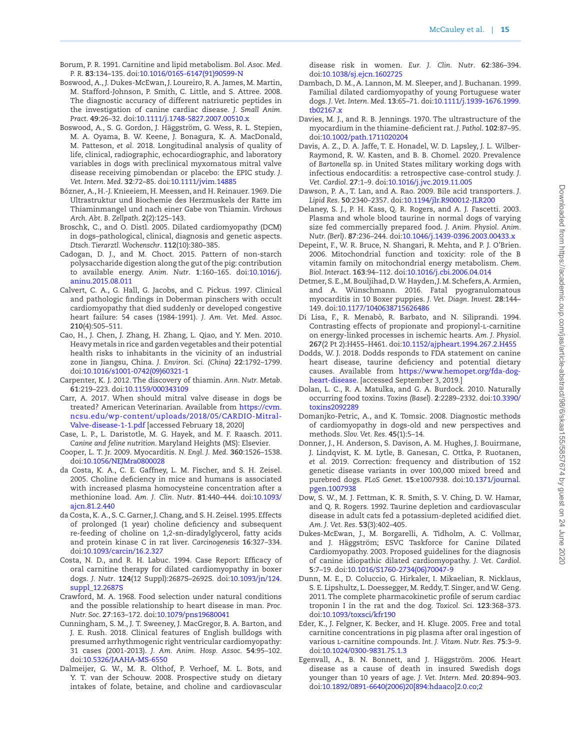- Borum, P. R. 1991. Carnitine and lipid metabolism. *Bol. Asoc. Med. P. R*. **83**:134–135. doi[:10.1016/0165-6147\(91\)90599-N](https://doi.org/10.1016/0165-6147(91)90599-N)
- Boswood, A., J. Dukes-McEwan, J. Loureiro, R. A. James, M. Martin, M. Stafford-Johnson, P. Smith, C. Little, and S. Attree. 2008. The diagnostic accuracy of different natriuretic peptides in the investigation of canine cardiac disease. *J. Small Anim. Pract*. **49**:26–32. doi:[10.1111/j.1748-5827.2007.00510.x](https://doi.org/10.1111/j.1748-5827.2007.00510.x)
- Boswood, A., S. G. Gordon, J. Häggström, G. Wess, R. L. Stepien, M. A. Oyama, B. W. Keene, J. Bonagura, K. A. MacDonald, M. Patteson, *et al.* 2018. Longitudinal analysis of quality of life, clinical, radiographic, echocardiographic, and laboratory variables in dogs with preclinical myxomatous mitral valve disease receiving pimobendan or placebo: the EPIC study. *J. Vet. Intern. Med*. **32**:72–85. doi[:10.1111/jvim.14885](https://doi.org/10.1111/jvim.14885)
- Bózner, A., H.-J. Knieeiem, H. Meessen, and H. Reinauer. 1969. Die Ultrastruktur und Biochemie des Herzmuskels der Ratte im Thiaminmangel und nach einer Gabe von Thiamin. *Virchows Arch. Abt. B. Zellpath*. **2**(2):125–143.
- Broschk, C., and O. Distl. 2005. Dilated cardiomyopathy (DCM) in dogs–pathological, clinical, diagnosis and genetic aspects. *Dtsch. Tierarztl. Wochenschr*. **112**(10):380–385.
- Cadogan, D. J., and M. Choct. 2015. Pattern of non-starch polysaccharide digestion along the gut of the pig: contribution to available energy. *Anim. Nutr*. **1**:160–165. doi:[10.1016/j.](https://doi.org/10.1016/j.aninu.2015.08.011) [aninu.2015.08.011](https://doi.org/10.1016/j.aninu.2015.08.011)
- Calvert, C. A., G. Hall, G. Jacobs, and C. Pickus. 1997. Clinical and pathologic findings in Doberman pinschers with occult cardiomyopathy that died suddenly or developed congestive heart failure: 54 cases (1984-1991). *J. Am. Vet. Med. Assoc*. **210**(4):505–511.
- Cao, H., J. Chen, J. Zhang, H. Zhang, L. Qiao, and Y. Men. 2010. Heavy metals in rice and garden vegetables and their potential health risks to inhabitants in the vicinity of an industrial zone in Jiangsu, China. *J. Environ. Sci. (China)* **22**:1792–1799. doi:[10.1016/s1001-0742\(09\)60321-1](https://doi.org/10.1016/s1001-0742(09)60321-1)
- Carpenter, K. J. 2012. The discovery of thiamin. *Ann. Nutr. Metab*. **61**:219–223. doi[:10.1159/000343109](https://doi.org/10.1159/000343109)
- Carr, A. 2017. When should mitral valve disease in dogs be treated? American Veterinarian. Available from [https://cvm.](https://cvm.ncsu.edu/wp-content/uploads/2018/05/CARDIO-Mitral-Valve-disease-1-1.pdf﻿) [ncsu.edu/wp-content/uploads/2018/05/CARDIO-Mitral-](https://cvm.ncsu.edu/wp-content/uploads/2018/05/CARDIO-Mitral-Valve-disease-1-1.pdf﻿)[Valve-disease-1-1.pdf](https://cvm.ncsu.edu/wp-content/uploads/2018/05/CARDIO-Mitral-Valve-disease-1-1.pdf﻿) [accessed February 18, 2020]
- Case, L. P., L. Daristotle, M. G. Hayek, and M. F. Raasch. 2011. *Canine and feline nutrition*. Maryland Heights (MS): Elsevier.
- Cooper, L. T. Jr. 2009. Myocarditis. *N. Engl. J. Med*. **360**:1526–1538. doi:[10.1056/NEJMra0800028](https://doi.org/10.1056/NEJMra0800028)
- da Costa, K. A., C. E. Gaffney, L. M. Fischer, and S. H. Zeisel. 2005. Choline deficiency in mice and humans is associated with increased plasma homocysteine concentration after a methionine load. *Am. J. Clin. Nutr*. **81**:440–444. doi[:10.1093/](https://doi.org/10.1093/ajcn.81.2.440) [ajcn.81.2.440](https://doi.org/10.1093/ajcn.81.2.440)
- da Costa, K. A., S. C. Garner, J. Chang, and S. H. Zeisel. 1995. Effects of prolonged (1 year) choline deficiency and subsequent re-feeding of choline on 1,2-sn-diradylglycerol, fatty acids and protein kinase C in rat liver. *Carcinogenesis* **16**:327–334. doi:[10.1093/carcin/16.2.327](https://doi.org/10.1093/carcin/16.2.327)
- Costa, N. D., and R. H. Labuc. 1994. Case Report: Efficacy of oral carnitine therapy for dilated cardiomyopathy in boxer dogs. *J. Nutr*. **124**(12 Suppl):2687S–2692S. doi:[10.1093/jn/124.](https://doi.org/10.1093/jn/124.suppl_12.2687S) [suppl\\_12.2687S](https://doi.org/10.1093/jn/124.suppl_12.2687S)
- Crawford, M. A. 1968. Food selection under natural conditions and the possible relationship to heart disease in man. *Proc. Nutr. Soc*. **27**:163–172. doi[:10.1079/pns19680041](https://doi.org/10.1079/pns19680041)
- Cunningham, S. M., J. T. Sweeney, J. MacGregor, B. A. Barton, and J. E. Rush. 2018. Clinical features of English bulldogs with presumed arrhythmogenic right ventricular cardiomyopathy: 31 cases (2001-2013). *J. Am. Anim. Hosp. Assoc*. **54**:95–102. doi:[10.5326/JAAHA-MS-6550](https://doi.org/10.5326/JAAHA-MS-6550)
- Dalmeijer, G. W., M. R. Olthof, P. Verhoef, M. L. Bots, and Y. T. van der Schouw. 2008. Prospective study on dietary intakes of folate, betaine, and choline and cardiovascular

disease risk in women. *Eur. J. Clin. Nutr*. **62**:386–394. doi:[10.1038/sj.ejcn.1602725](https://doi.org/10.1038/sj.ejcn.1602725)

- Dambach, D. M., A. Lannon, M. M. Sleeper, and J. Buchanan. 1999. Familial dilated cardiomyopathy of young Portuguese water dogs. *J. Vet. Intern. Med*. **13**:65–71. doi:[10.1111/j.1939-1676.1999.](https://doi.org/10.1111/j.1939-1676.1999.tb02167.x) [tb02167.x](https://doi.org/10.1111/j.1939-1676.1999.tb02167.x)
- Davies, M. J., and R. B. Jennings. 1970. The ultrastructure of the myocardium in the thiamine-deficient rat. *J. Pathol*. **102**:87–95. doi:[10.1002/path.1711020204](https://doi.org/10.1002/path.1711020204)
- Davis, A. Z., D. A. Jaffe, T. E. Honadel, W. D. Lapsley, J. L. Wilber-Raymond, R. W. Kasten, and B. B. Chomel. 2020. Prevalence of *Bartonella* sp. in United States military working dogs with infectious endocarditis: a retrospective case-control study. *J. Vet. Cardiol*. **27**:1–9. doi[:10.1016/j.jvc.2019.11.005](https://doi.org/10.1016/j.jvc.2019.11.005)
- Dawson, P. A., T. Lan, and A. Rao. 2009. Bile acid transporters. *J. Lipid Res*. **50**:2340–2357. doi:[10.1194/jlr.R900012-JLR200](https://doi.org/10.1194/jlr.R900012-JLR200)
- Delaney, S. J., P. H. Kass, Q. R. Rogers, and A. J. Fascetti. 2003. Plasma and whole blood taurine in normal dogs of varying size fed commercially prepared food. *J. Anim. Physiol. Anim. Nutr. (Berl)*. **87**:236–244. doi[:10.1046/j.1439-0396.2003.00433.x](https://doi.org/10.1046/j.1439-0396.2003.00433.x)
- Depeint, F., W. R. Bruce, N. Shangari, R. Mehta, and P. J. O'Brien. 2006. Mitochondrial function and toxicity: role of the B vitamin family on mitochondrial energy metabolism. *Chem. Biol. Interact*. **163**:94–112. doi[:10.1016/j.cbi.2006.04.014](https://doi.org/10.1016/j.cbi.2006.04.014)
- Detmer, S. E., M. Bouljihad, D. W. Hayden, J. M. Schefers, A. Armien, and A. Wünschmann. 2016. Fatal pyogranulomatous myocarditis in 10 Boxer puppies. *J. Vet. Diagn. Invest*. **28**:144– 149. doi[:10.1177/1040638715626486](https://doi.org/10.1177/1040638715626486)
- Di Lisa, F., R. Menabò, R. Barbato, and N. Siliprandi. 1994. Contrasting effects of propionate and propionyl-l-carnitine on energy-linked processes in ischemic hearts. *Am. J. Physiol*. **267**(2 Pt 2):H455–H461. doi:[10.1152/ajpheart.1994.267.2.H455](https://doi.org/10.1152/ajpheart.1994.267.2.H455)
- Dodds, W. J. 2018. Dodds responds to FDA statement on canine heart disease, taurine deficiency and potential dietary causes. Available from [https://www.hemopet.org/fda-dog](https://www.hemopet.org/fda-dog-heart-disease)[heart-disease.](https://www.hemopet.org/fda-dog-heart-disease) [accessed September 3, 2019.]
- Dolan, L. C., R. A. Matulka, and G. A. Burdock. 2010. Naturally occurring food toxins. *Toxins (Basel)*. **2**:2289–2332. doi[:10.3390/](https://doi.org/10.3390/toxins2092289) [toxins2092289](https://doi.org/10.3390/toxins2092289)
- Domanjko-Petric, A., and K. Tomsic. 2008. Diagnostic methods of cardiomyopathy in dogs-old and new perspectives and methods. *Slov. Vet. Res*. **45**(1):5–14.
- Donner, J., H. Anderson, S. Davison, A. M. Hughes, J. Bouirmane, J. Lindqvist, K. M. Lytle, B. Ganesan, C. Ottka, P. Ruotanen, *et al.* 2019. Correction: frequency and distribution of 152 genetic disease variants in over 100,000 mixed breed and purebred dogs. *PLoS Genet*. **15**:e1007938. doi:[10.1371/journal.](https://doi.org/10.1371/journal.pgen.1007938) [pgen.1007938](https://doi.org/10.1371/journal.pgen.1007938)
- Dow, S. W., M. J. Fettman, K. R. Smith, S. V. Ching, D. W. Hamar, and Q. R. Rogers. 1992. Taurine depletion and cardiovascular disease in adult cats fed a potassium-depleted acidified diet. *Am. J. Vet. Res*. **53**(3):402–405.
- Dukes-McEwan, J., M. Borgarelli, A. Tidholm, A. C. Vollmar, and J. Häggström; ESVC Taskforce for Canine Dilated Cardiomyopathy. 2003. Proposed guidelines for the diagnosis of canine idiopathic dilated cardiomyopathy. *J. Vet. Cardiol*. **5**:7–19. doi[:10.1016/S1760-2734\(06\)70047-9](https://doi.org/10.1016/S1760-2734(06)70047-9)
- Dunn, M. E., D. Coluccio, G. Hirkaler, I. Mikaelian, R. Nicklaus, S. E. Lipshultz, L. Doessegger, M. Reddy, T. Singer, and W. Geng. 2011. The complete pharmacokinetic profile of serum cardiac troponin I in the rat and the dog. *Toxicol. Sci*. **123**:368–373. doi:[10.1093/toxsci/kfr190](https://doi.org/10.1093/toxsci/kfr190)
- Eder, K., J. Felgner, K. Becker, and H. Kluge. 2005. Free and total carnitine concentrations in pig plasma after oral ingestion of various l-carnitine compounds. *Int. J. Vitam. Nutr. Res*. **75**:3–9. doi:[10.1024/0300-9831.75.1.3](https://doi.org/10.1024/0300-9831.75.1.3)
- Egenvall, A., B. N. Bonnett, and J. Häggström. 2006. Heart disease as a cause of death in insured Swedish dogs younger than 10 years of age. *J. Vet. Intern. Med*. **20**:894–903. doi:[10.1892/0891-6640\(2006\)20\[894:hdaaco\]2.0.co;2](https://doi.org/10.1892/0891-6640(2006)20[894:hdaaco]2.0.co;2)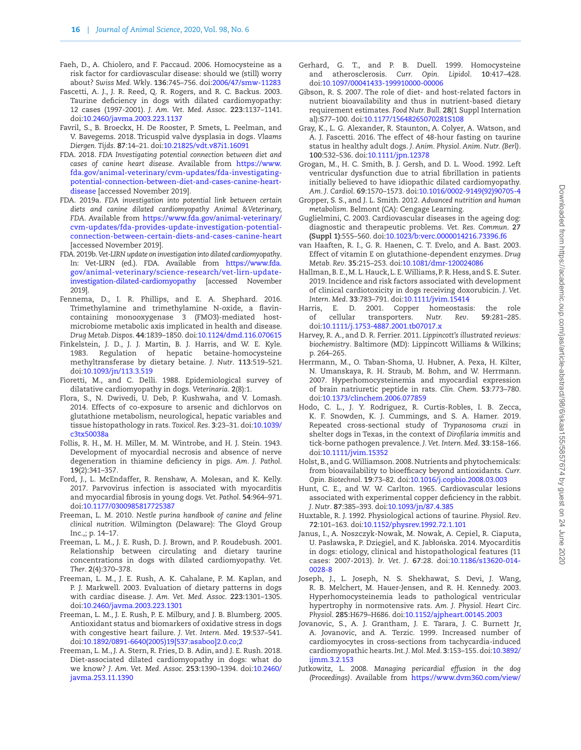- Faeh, D., A. Chiolero, and F. Paccaud. 2006. Homocysteine as a risk factor for cardiovascular disease: should we (still) worry about? *Swiss Med. Wkly*. **136**:745–756. doi:[2006/47/smw-11283](https://doi.org/2006/47/smw-11283)
- Fascetti, A. J., J. R. Reed, Q. R. Rogers, and R. C. Backus. 2003. Taurine deficiency in dogs with dilated cardiomyopathy: 12 cases (1997-2001). *J. Am. Vet. Med. Assoc*. **223**:1137–1141. doi:[10.2460/javma.2003.223.1137](https://doi.org/10.2460/javma.2003.223.1137)
- Favril, S., B. Broeckx, H. De Rooster, P. Smets, L. Peelman, and V. Bavegems. 2018. Tricuspid valve dysplasia in dogs. *Vlaams Diergen. Tijds*. **87**:14–21. doi:[10.21825/vdt.v87i1.16091](https://doi.org/10.21825/vdt.v87i1.16091)
- FDA. 2018. *FDA Investigating potential connection between diet and cases of canine heart disease*. Available from [https://www.](https://www.fda.gov/animal-veterinary/cvm-updates/fda-investigating-potential-connection-between-diet-and-cases-canine-heart-disease﻿) [fda.gov/animal-veterinary/cvm-updates/fda-investigating](https://www.fda.gov/animal-veterinary/cvm-updates/fda-investigating-potential-connection-between-diet-and-cases-canine-heart-disease﻿)[potential-connection-between-diet-and-cases-canine-heart](https://www.fda.gov/animal-veterinary/cvm-updates/fda-investigating-potential-connection-between-diet-and-cases-canine-heart-disease﻿)[disease](https://www.fda.gov/animal-veterinary/cvm-updates/fda-investigating-potential-connection-between-diet-and-cases-canine-heart-disease﻿) [accessed November 2019].
- FDA. 2019a. *FDA investigation into potential link between certain diets and canine dilated cardiomyopathy Animal &Veterinary, FDA*. Available from [https://www.fda.gov/animal-veterinary/](https://www.fda.gov/animal-veterinary/cvm-updates/fda-provides-update-investigation-potential-connection-between-certain-diets-and-cases-canine-heart﻿) [cvm-updates/fda-provides-update-investigation-potential](https://www.fda.gov/animal-veterinary/cvm-updates/fda-provides-update-investigation-potential-connection-between-certain-diets-and-cases-canine-heart﻿)[connection-between-certain-diets-and-cases-canine-heart](https://www.fda.gov/animal-veterinary/cvm-updates/fda-provides-update-investigation-potential-connection-between-certain-diets-and-cases-canine-heart﻿) [accessed November 2019].
- FDA. 2019b. *Vet-LIRN update on investigation into dilated cardiomyopathy*. In: Vet-LIRN (ed.). FDA. Available from [https://www.fda.](https://www.fda.gov/animal-veterinary/science-research/vet-lirn-update-investigation-dilated-cardiomyopathy﻿) [gov/animal-veterinary/science-research/vet-lirn-update](https://www.fda.gov/animal-veterinary/science-research/vet-lirn-update-investigation-dilated-cardiomyopathy﻿)[investigation-dilated-cardiomyopathy](https://www.fda.gov/animal-veterinary/science-research/vet-lirn-update-investigation-dilated-cardiomyopathy﻿) [accessed November 2019].
- Fennema, D., I. R. Phillips, and E. A. Shephard. 2016. Trimethylamine and trimethylamine N-oxide, a flavincontaining monooxygenase 3 (FMO3)-mediated hostmicrobiome metabolic axis implicated in health and disease. *Drug Metab. Dispos*. **44**:1839–1850. doi:[10.1124/dmd.116.070615](https://doi.org/10.1124/dmd.116.070615)
- Finkelstein, J. D., J. J. Martin, B. J. Harris, and W. E. Kyle. 1983. Regulation of hepatic betaine-homocysteine methyltransferase by dietary betaine. *J. Nutr*. **113**:519–521. doi:[10.1093/jn/113.3.519](https://doi.org/10.1093/jn/113.3.519)
- Fioretti, M., and C. Delli. 1988. Epidemiological survey of dilatative cardiomyopathy in dogs. *Veterinaria*. **2**(8):1.
- Flora, S., N. Dwivedi, U. Deb, P. Kushwaha, and V. Lomash. 2014. Effects of co-exposure to arsenic and dichlorvos on glutathione metabolism, neurological, hepatic variables and tissue histopathology in rats. *Toxicol. Res*. **3**:23–31. doi[:10.1039/](https://doi.org/10.1039/c3tx50038a) [c3tx50038a](https://doi.org/10.1039/c3tx50038a)
- Follis, R. H., M. H. Miller, M. M. Wintrobe, and H. J. Stein. 1943. Development of myocardial necrosis and absence of nerve degeneration in thiamine deficiency in pigs. *Am. J. Pathol*. **19**(2):341–357.
- Ford, J., L. McEndaffer, R. Renshaw, A. Molesan, and K. Kelly. 2017. Parvovirus infection is associated with myocarditis and myocardial fibrosis in young dogs. *Vet. Pathol*. **54**:964–971. doi:[10.1177/0300985817725387](https://doi.org/10.1177/0300985817725387)
- Freeman, L. M. 2010. *Nestle purina handbook of canine and feline clinical nutrition.* Wilmington (Delaware): The Gloyd Group Inc.,; p. 14–17.
- Freeman, L. M., J. E. Rush, D. J. Brown, and P. Roudebush. 2001. Relationship between circulating and dietary taurine concentrations in dogs with dilated cardiomyopathy. *Vet. Ther*. **2**(4):370–378.
- Freeman, L. M., J. E. Rush, A. K. Cahalane, P. M. Kaplan, and P. J. Markwell. 2003. Evaluation of dietary patterns in dogs with cardiac disease. *J. Am. Vet. Med. Assoc*. **223**:1301–1305. doi:[10.2460/javma.2003.223.1301](https://doi.org/10.2460/javma.2003.223.1301)
- Freeman, L. M., J. E. Rush, P. E. Milbury, and J. B. Blumberg. 2005. Antioxidant status and biomarkers of oxidative stress in dogs with congestive heart failure. *J. Vet. Intern. Med*. **19**:537–541. doi:[10.1892/0891-6640\(2005\)19\[537:asaboo\]2.0.co;2](https://doi.org/10.1892/0891-6640(2005)19[537:asaboo]2.0.co;2)
- Freeman, L. M., J. A. Stern, R. Fries, D. B. Adin, and J. E. Rush. 2018. Diet-associated dilated cardiomyopathy in dogs: what do we know? *J. Am. Vet. Med. Assoc*. **253**:1390–1394. doi[:10.2460/](https://doi.org/10.2460/javma.253.11.1390) [javma.253.11.1390](https://doi.org/10.2460/javma.253.11.1390)
- Gerhard, G. T., and P. B. Duell. 1999. Homocysteine and atherosclerosis. *Curr. Opin. Lipidol*. **10**:417–428. doi:[10.1097/00041433-199910000-00006](https://doi.org/10.1097/00041433-199910000-00006)
- Gibson, R. S. 2007. The role of diet- and host-related factors in nutrient bioavailability and thus in nutrient-based dietary requirement estimates. *Food Nutr. Bull*. **28**(1 Suppl Internation al):S77–100. doi:[10.1177/15648265070281S108](https://doi.org/10.1177/15648265070281S108)
- Gray, K., L. G. Alexander, R. Staunton, A. Colyer, A. Watson, and A. J. Fascetti. 2016. The effect of 48-hour fasting on taurine status in healthy adult dogs. *J. Anim. Physiol. Anim. Nutr. (Berl)*. **100**:532–536. doi:[10.1111/jpn.12378](https://doi.org/10.1111/jpn.12378)
- Grogan, M., H. C. Smith, B. J. Gersh, and D. L. Wood. 1992. Left ventricular dysfunction due to atrial fibrillation in patients initially believed to have idiopathic dilated cardiomyopathy. *Am. J. Cardiol*. **69**:1570–1573. doi:[10.1016/0002-9149\(92\)90705-4](https://doi.org/10.1016/0002-9149(92)90705-4)
- Gropper, S. S., and J. L. Smith. 2012. *Advanced nutrition and human metabolism.* Belmont (CA): Cengage Learning.
- Guglielmini, C. 2003. Cardiovascular diseases in the ageing dog: diagnostic and therapeutic problems. *Vet. Res. Commun*. **27 (Suppl 1)**:555–560. doi[:10.1023/b:verc.0000014216.73396.f6](https://doi.org/10.1023/b:verc.0000014216.73396.f6)
- van Haaften, R. I., G. R. Haenen, C. T. Evelo, and A. Bast. 2003. Effect of vitamin E on glutathione-dependent enzymes. *Drug Metab. Rev*. **35**:215–253. doi[:10.1081/dmr-120024086](https://doi.org/10.1081/dmr-120024086)
- Hallman, B. E., M. L. Hauck, L. E. Williams, P. R. Hess, and S. E. Suter. 2019. Incidence and risk factors associated with development of clinical cardiotoxicity in dogs receiving doxorubicin. *J. Vet. Intern. Med*. **33**:783–791. doi:[10.1111/jvim.15414](https://doi.org/10.1111/jvim.15414)
- Harris, E. D. 2001. Copper homeostasis: the role of cellular transporters. *Nutr. Rev*. **59**:281–285. doi:[10.1111/j.1753-4887.2001.tb07017.x](https://doi.org/10.1111/j.1753-4887.2001.tb07017.x)
- Harvey, R. A., and D. R. Ferrier. 2011. *Lippincott's illustrated reviews: biochemistry*. Baltimore (MD): Lippincott Williams & Wilkins; p. 264–265.
- Herrmann, M., O. Taban-Shoma, U. Hubner, A. Pexa, H. Kilter, N. Umanskaya, R. H. Straub, M. Bohm, and W. Herrmann. 2007. Hyperhomocysteinemia and myocardial expression of brain natriuretic peptide in rats. *Clin. Chem*. **53**:773–780. doi:[10.1373/clinchem.2006.077859](https://doi.org/10.1373/clinchem.2006.077859)
- Hodo, C. L., J. Y. Rodriguez, R. Curtis-Robles, I. B. Zecca, K. F. Snowden, K. J. Cummings, and S. A. Hamer. 2019. Repeated cross-sectional study of *Trypanosoma cruzi* in shelter dogs in Texas, in the context of *Dirofilaria immitis* and tick-borne pathogen prevalence. *J. Vet. Intern. Med*. **33**:158–166. doi:[10.1111/jvim.15352](https://doi.org/10.1111/jvim.15352)
- Holst, B., and G. Williamson. 2008. Nutrients and phytochemicals: from bioavailability to bioefficacy beyond antioxidants. *Curr. Opin. Biotechnol*. **19**:73–82. doi:[10.1016/j.copbio.2008.03.003](https://doi.org/10.1016/j.copbio.2008.03.003)
- Hunt, C. E., and W. W. Carlton. 1965. Cardiovascular lesions associated with experimental copper deficiency in the rabbit. *J. Nutr*. **87**:385–393. doi[:10.1093/jn/87.4.385](https://doi.org/10.1093/jn/87.4.385)
- Huxtable, R. J. 1992. Physiological actions of taurine. *Physiol. Rev*. **72**:101–163. doi[:10.1152/physrev.1992.72.1.101](https://doi.org/10.1152/physrev.1992.72.1.101)
- Janus, I., A. Noszczyk-Nowak, M. Nowak, A. Cepiel, R. Ciaputa, U. Pasławska, P. Dzięgiel, and K. Jabłońska. 2014. Myocarditis in dogs: etiology, clinical and histopathological features (11 cases: 2007-2013). *Ir. Vet. J*. **67**:28. doi:[10.1186/s13620-014-](https://doi.org/10.1186/s13620-014-0028-8) [0028-8](https://doi.org/10.1186/s13620-014-0028-8)
- Joseph, J., L. Joseph, N. S. Shekhawat, S. Devi, J. Wang, R. B. Melchert, M. Hauer-Jensen, and R. H. Kennedy. 2003. Hyperhomocysteinemia leads to pathological ventricular hypertrophy in normotensive rats. *Am. J. Physiol. Heart Circ. Physiol*. **285**:H679–H686. doi[:10.1152/ajpheart.00145.2003](https://doi.org/10.1152/ajpheart.00145.2003)
- Jovanovic, S., A. J. Grantham, J. E. Tarara, J. C. Burnett Jr, A. Jovanovic, and A. Terzic. 1999. Increased number of cardiomyocytes in cross-sections from tachycardia-induced cardiomyopathic hearts. *Int. J. Mol. Med*. **3**:153–155. doi[:10.3892/](https://doi.org/10.3892/ijmm.3.2.153) [ijmm.3.2.153](https://doi.org/10.3892/ijmm.3.2.153)
- Jutkowitz, L. 2008. *Managing pericardial effusion in the dog (Proceedings).* Available from [https://www.dvm360.com/view/](https://www.dvm360.com/view/managing-pericardial-effusion-dog-proceedings﻿)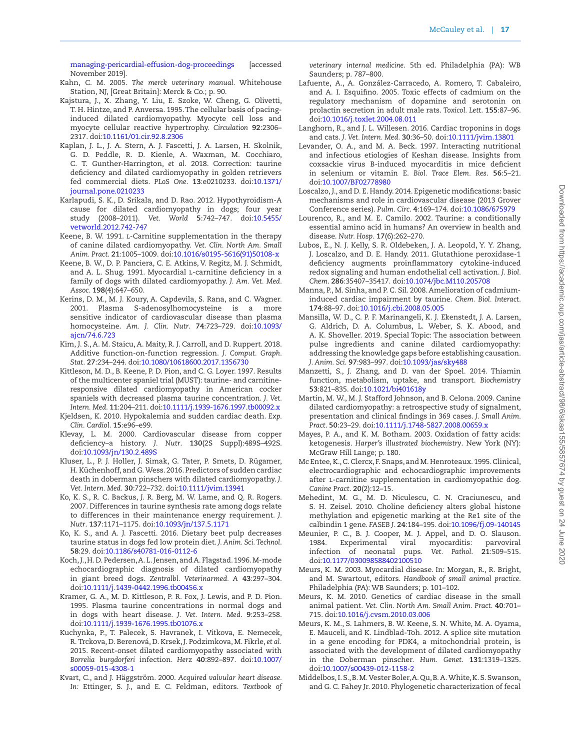[managing-pericardial-effusion-dog-proceedings](https://www.dvm360.com/view/managing-pericardial-effusion-dog-proceedings﻿) [accessed November 2019].

- Kahn, C. M. 2005. *The merck veterinary manual*. Whitehouse Station, NJ, [Great Britain]: Merck & Co.; p. 90.
- <span id="page-16-1"></span>Kajstura, J., X. Zhang, Y. Liu, E. Szoke, W. Cheng, G. Olivetti, T. H. Hintze, and P. Anversa. 1995. The cellular basis of pacinginduced dilated cardiomyopathy. Myocyte cell loss and myocyte cellular reactive hypertrophy. *Circulation* **92**:2306– 2317. doi[:10.1161/01.cir.92.8.2306](https://doi.org/10.1161/01.cir.92.8.2306)
- Kaplan, J. L., J. A. Stern, A. J. Fascetti, J. A. Larsen, H. Skolnik, G. D. Peddle, R. D. Kienle, A. Waxman, M. Cocchiaro, C. T. Gunther-Harrington, *et al.* 2018. Correction: taurine deficiency and dilated cardiomyopathy in golden retrievers fed commercial diets. *PLoS One*. **13**:e0210233. doi[:10.1371/](https://doi.org/10.1371/journal.pone.0210233) [journal.pone.0210233](https://doi.org/10.1371/journal.pone.0210233)
- Karlapudi, S. K., D. Srikala, and D. Rao. 2012. Hypothyroidism-A cause for dilated cardiomyopathy in dogs; four year study (2008–2011). *Vet. World* **5**:742–747. doi[:10.5455/](https://doi.org/10.5455/vetworld.2012.742-747) [vetworld.2012.742-747](https://doi.org/10.5455/vetworld.2012.742-747)
- Keene, B. W. 1991. L-Carnitine supplementation in the therapy of canine dilated cardiomyopathy. *Vet. Clin. North Am. Small Anim. Pract*. **21**:1005–1009. doi:[10.1016/s0195-5616\(91\)50108-x](https://doi.org/10.1016/s0195-5616(91)50108-x)
- <span id="page-16-0"></span>Keene, B. W., D. P. Panciera, C. E. Atkins, V. Regitz, M. J. Schmidt, and A. L. Shug. 1991. Myocardial L-carnitine deficiency in a family of dogs with dilated cardiomyopathy. *J. Am. Vet. Med. Assoc*. **198**(4):647–650.
- Kerins, D. M., M. J. Koury, A. Capdevila, S. Rana, and C. Wagner. 2001. Plasma S-adenosylhomocysteine is a more sensitive indicator of cardiovascular disease than plasma homocysteine. *Am. J. Clin. Nutr*. **74**:723–729. doi[:10.1093/](https://doi.org/10.1093/ajcn/74.6.723) [ajcn/74.6.723](https://doi.org/10.1093/ajcn/74.6.723)
- Kim, J. S., A. M. Staicu, A. Maity, R. J. Carroll, and D. Ruppert. 2018. Additive function-on-function regression. *J. Comput. Graph. Stat*. **27**:234–244. doi:[10.1080/10618600.2017.1356730](https://doi.org/10.1080/10618600.2017.1356730)
- Kittleson, M. D., B. Keene, P. D. Pion, and C. G. Loyer. 1997. Results of the multicenter spaniel trial (MUST): taurine- and carnitineresponsive dilated cardiomyopathy in American cocker spaniels with decreased plasma taurine concentration. *J. Vet. Intern. Med*. **11**:204–211. doi:[10.1111/j.1939-1676.1997.tb00092.x](https://doi.org/10.1111/j.1939-1676.1997.tb00092.x)
- Kjeldsen, K. 2010. Hypokalemia and sudden cardiac death. *Exp. Clin. Cardiol*. **15**:e96–e99.
- Klevay, L. M. 2000. Cardiovascular disease from copper deficiency–a history. *J. Nutr*. **130**(2S Suppl):489S–492S. doi:[10.1093/jn/130.2.489S](https://doi.org/10.1093/jn/130.2.489S)
- Kluser, L., P. J. Holler, J. Simak, G. Tater, P. Smets, D. Rügamer, H. Küchenhoff, and G. Wess. 2016. Predictors of sudden cardiac death in doberman pinschers with dilated cardiomyopathy. *J. Vet. Intern. Med*. **30**:722–732. doi[:10.1111/jvim.13941](https://doi.org/10.1111/jvim.13941)
- Ko, K. S., R. C. Backus, J. R. Berg, M. W. Lame, and Q. R. Rogers. 2007. Differences in taurine synthesis rate among dogs relate to differences in their maintenance energy requirement. *J. Nutr*. **137**:1171–1175. doi:[10.1093/jn/137.5.1171](https://doi.org/10.1093/jn/137.5.1171)
- Ko, K. S., and A. J. Fascetti. 2016. Dietary beet pulp decreases taurine status in dogs fed low protein diet. *J. Anim. Sci. Technol*. **58**:29. doi:[10.1186/s40781-016-0112-6](https://doi.org/10.1186/s40781-016-0112-6)
- Koch, J., H. D. Pedersen, A. L. Jensen, and A. Flagstad. 1996. M-mode echocardiographic diagnosis of dilated cardiomyopathy in giant breed dogs. *Zentralbl. Veterinarmed. A* **43**:297–304. doi:[10.1111/j.1439-0442.1996.tb00456.x](https://doi.org/10.1111/j.1439-0442.1996.tb00456.x)
- Kramer, G. A., M. D. Kittleson, P. R. Fox, J. Lewis, and P. D. Pion. 1995. Plasma taurine concentrations in normal dogs and in dogs with heart disease. *J. Vet. Intern. Med*. **9**:253–258. doi:[10.1111/j.1939-1676.1995.tb01076.x](https://doi.org/10.1111/j.1939-1676.1995.tb01076.x)
- Kuchynka, P., T. Palecek, S. Havranek, I. Vitkova, E. Nemecek, R. Trckova, D. Berenová, D. Krsek, J. Podzimkova, M. Fikrle, *et al.* 2015. Recent-onset dilated cardiomyopathy associated with *Borrelia burgdorferi* infection. *Herz* **40**:892–897. doi[:10.1007/](https://doi.org/10.1007/s00059-015-4308-1) [s00059-015-4308-1](https://doi.org/10.1007/s00059-015-4308-1)
- Kvart, C., and J. Häggström. 2000. *Acquired valvular heart disease. In:* Ettinger, S. J., and E. C. Feldman, editors. *Textbook of*

*veterinary internal medicine*. 5th ed. Philadelphia (PA): WB Saunders; p. 787–800.

- Lafuente, A., A. González-Carracedo, A. Romero, T. Cabaleiro, and A. I. Esquifino. 2005. Toxic effects of cadmium on the regulatory mechanism of dopamine and serotonin on prolactin secretion in adult male rats. *Toxicol. Lett*. **155**:87–96. doi:[10.1016/j.toxlet.2004.08.011](https://doi.org/10.1016/j.toxlet.2004.08.011)
- Langhorn, R., and J. L. Willesen. 2016. Cardiac troponins in dogs and cats. *J. Vet. Intern. Med*. **30**:36–50. doi:[10.1111/jvim.13801](https://doi.org/10.1111/jvim.13801)
- Levander, O. A., and M. A. Beck. 1997. Interacting nutritional and infectious etiologies of Keshan disease. Insights from coxsackie virus B-induced myocarditis in mice deficient in selenium or vitamin E. *Biol. Trace Elem. Res*. **56**:5–21. doi:[10.1007/BF02778980](https://doi.org/10.1007/BF02778980)
- Loscalzo, J., and D. E. Handy. 2014. Epigenetic modifications: basic mechanisms and role in cardiovascular disease (2013 Grover Conference series). *Pulm. Circ*. **4**:169–174. doi:[10.1086/675979](https://doi.org/10.1086/675979)
- Lourenco, R., and M. E. Camilo. 2002. Taurine: a conditionally essential amino acid in humans? An overview in health and disease. *Nutr. Hosp*. **17**(6):262–270.
- Lubos, E., N. J. Kelly, S. R. Oldebeken, J. A. Leopold, Y. Y. Zhang, J. Loscalzo, and D. E. Handy. 2011. Glutathione peroxidase-1 deficiency augments proinflammatory cytokine-induced redox signaling and human endothelial cell activation. *J. Biol. Chem*. **286**:35407–35417. doi:[10.1074/jbc.M110.205708](https://doi.org/10.1074/jbc.M110.205708)
- Manna, P., M. Sinha, and P. C. Sil. 2008. Amelioration of cadmiuminduced cardiac impairment by taurine. *Chem. Biol. Interact*. **174**:88–97. doi[:10.1016/j.cbi.2008.05.005](https://doi.org/10.1016/j.cbi.2008.05.005)
- Mansilla, W. D., C. P. F. Marinangeli, K. J. Ekenstedt, J. A. Larsen, G. Aldrich, D. A. Columbus, L. Weber, S. K. Abood, and A. K. Shoveller. 2019. Special Topic: The association between pulse ingredients and canine dilated cardiomyopathy: addressing the knowledge gaps before establishing causation. *J. Anim. Sci*. **97**:983–997. doi:[10.1093/jas/sky488](https://doi.org/10.1093/jas/sky488)
- Manzetti, S., J. Zhang, and D. van der Spoel. 2014. Thiamin function, metabolism, uptake, and transport. *Biochemistry* **53**:821–835. doi[:10.1021/bi401618y](https://doi.org/10.1021/bi401618y)
- Martin, M. W., M. J. Stafford Johnson, and B. Celona. 2009. Canine dilated cardiomyopathy: a retrospective study of signalment, presentation and clinical findings in 369 cases. *J. Small Anim. Pract*. **50**:23–29. doi:[10.1111/j.1748-5827.2008.00659.x](https://doi.org/10.1111/j.1748-5827.2008.00659.x)
- Mayes, P. A., and K. M. Botham. 2003. Oxidation of fatty acids: ketogenesis. *Harper's illustrated biochemistry*. New York (NY): McGraw Hill Lange; p. 180.
- Mc Entee, K., C. Clercx, F. Snaps, and M. Henroteaux. 1995. Clinical, electrocardiographic and echocardiographic improvements after l-carnitine supplementation in cardiomyopathic dog. *Canine Pract*. **20**(2):12–15.
- Mehedint, M. G., M. D. Niculescu, C. N. Craciunescu, and S. H. Zeisel. 2010. Choline deficiency alters global histone methylation and epigenetic marking at the Re1 site of the calbindin 1 gene. *FASEB J*. **24**:184–195. doi:[10.1096/fj.09-140145](https://doi.org/10.1096/fj.09-140145)
- Meunier, P. C., B. J. Cooper, M. J. Appel, and D. O. Slauson.<br>1984. Experimental viral myocarditis: parvoviral 1984. Experimental viral myocarditis: parvoviral infection of neonatal pups. *Vet. Pathol*. **21**:509–515. doi:[10.1177/030098588402100510](https://doi.org/10.1177/030098588402100510)
- Meurs, K. M. 2003. Myocardial disease. In: Morgan, R., R. Bright, and M. Swartout, editors. *Handbook of small animal practice*. Philadelphia (PA): WB Saunders; p. 101–102.
- Meurs, K. M. 2010. Genetics of cardiac disease in the small animal patient. *Vet. Clin. North Am. Small Anim. Pract*. **40**:701– 715. doi[:10.1016/j.cvsm.2010.03.006](https://doi.org/10.1016/j.cvsm.2010.03.006)
- Meurs, K. M., S. Lahmers, B. W. Keene, S. N. White, M. A. Oyama, E. Mauceli, and K. Lindblad-Toh. 2012. A splice site mutation in a gene encoding for PDK4, a mitochondrial protein, is associated with the development of dilated cardiomyopathy in the Doberman pinscher. *Hum. Genet*. **131**:1319–1325. doi:[10.1007/s00439-012-1158-2](https://doi.org/10.1007/s00439-012-1158-2)
- Middelbos, I. S., B. M. Vester Boler, A. Qu, B. A. White, K. S. Swanson, and G. C. Fahey Jr. 2010. Phylogenetic characterization of fecal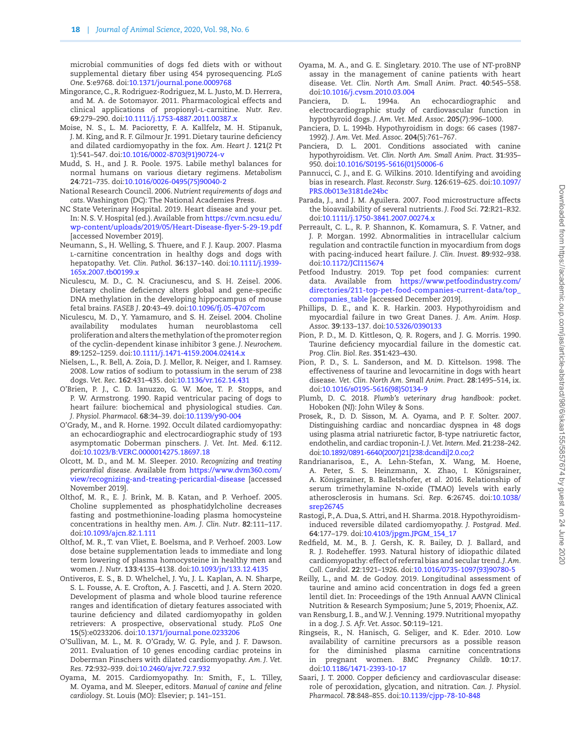microbial communities of dogs fed diets with or without supplemental dietary fiber using 454 pyrosequencing. *PLoS One*. **5**:e9768. doi[:10.1371/journal.pone.0009768](https://doi.org/10.1371/journal.pone.0009768)

- Mingorance, C., R. Rodriguez-Rodriguez, M. L. Justo, M. D. Herrera, and M. A. de Sotomayor. 2011. Pharmacological effects and clinical applications of propionyl-l-carnitine. *Nutr. Rev*. **69**:279–290. doi[:10.1111/j.1753-4887.2011.00387.x](https://doi.org/10.1111/j.1753-4887.2011.00387.x)
- Moise, N. S., L. M. Pacioretty, F. A. Kallfelz, M. H. Stipanuk, J. M. King, and R. F. Gilmour Jr. 1991. Dietary taurine deficiency and dilated cardiomyopathy in the fox. *Am. Heart J*. **121**(2 Pt 1):541–547. doi[:10.1016/0002-8703\(91\)90724-v](https://doi.org/10.1016/0002-8703(91)90724-v)
- Mudd, S. H., and J. R. Poole. 1975. Labile methyl balances for normal humans on various dietary regimens. *Metabolism* **24**:721–735. doi[:10.1016/0026-0495\(75\)90040-2](https://doi.org/10.1016/0026-0495(75)90040-2)
- National Research Council. 2006. *Nutrient requirements of dogs and cats*. Washington (DC): The National Academies Press.
- NC State Veterinary Hospital. 2019. Heart disease and your pet. In: N. S. V. Hospital (ed.). Available from [https://cvm.ncsu.edu/](https://cvm.ncsu.edu/wp-content/uploads/2019/05/Heart-Disease-flyer-5-29-19.pdf﻿) [wp-content/uploads/2019/05/Heart-Disease-flyer-5-29-19.pdf](https://cvm.ncsu.edu/wp-content/uploads/2019/05/Heart-Disease-flyer-5-29-19.pdf﻿) [accessed November 2019].
- Neumann, S., H. Welling, S. Thuere, and F. J. Kaup. 2007. Plasma l-carnitine concentration in healthy dogs and dogs with hepatopathy. *Vet. Clin. Pathol*. **36**:137–140. doi[:10.1111/j.1939-](https://doi.org/10.1111/j.1939-165x.2007.tb00199.x) [165x.2007.tb00199.x](https://doi.org/10.1111/j.1939-165x.2007.tb00199.x)
- Niculescu, M. D., C. N. Craciunescu, and S. H. Zeisel. 2006. Dietary choline deficiency alters global and gene-specific DNA methylation in the developing hippocampus of mouse fetal brains. *FASEB J*. **20**:43–49. doi:[10.1096/fj.05-4707com](https://doi.org/10.1096/fj.05-4707com)
- Niculescu, M. D., Y. Yamamuro, and S. H. Zeisel. 2004. Choline availability modulates human neuroblastoma cell proliferation and alters the methylation of the promoter region of the cyclin-dependent kinase inhibitor 3 gene. *J. Neurochem*. **89**:1252–1259. doi:[10.1111/j.1471-4159.2004.02414.x](https://doi.org/10.1111/j.1471-4159.2004.02414.x)
- Nielsen, L., R. Bell, A. Zoia, D. J. Mellor, R. Neiger, and I. Ramsey. 2008. Low ratios of sodium to potassium in the serum of 238 dogs. *Vet. Rec*. **162**:431–435. doi:[10.1136/vr.162.14.431](https://doi.org/10.1136/vr.162.14.431)
- O'Brien, P. J., C. D. Ianuzzo, G. W. Moe, T. P. Stopps, and P. W. Armstrong. 1990. Rapid ventricular pacing of dogs to heart failure: biochemical and physiological studies. *Can. J. Physiol. Pharmacol*. **68**:34–39. doi[:10.1139/y90-004](https://doi.org/10.1139/y90-004)
- O'Grady, M., and R. Horne. 1992. Occult dilated cardiomyopathy: an echocardiographic and electrocardiographic study of 193 asymptomatic Doberman pinschers. *J. Vet. Int. Med*. **6**:112. doi:[10.1023/B:VERC.0000014275.18697.18](https://doi.org/10.1023/B:VERC.0000014275.18697.18)
- Olcott, M. D., and M. M. Sleeper. 2010. *Recognizing and treating pericardial disease.* Available from [https://www.dvm360.com/](https://www.dvm360.com/view/recognizing-and-treating-pericardial-disease﻿) [view/recognizing-and-treating-pericardial-disease](https://www.dvm360.com/view/recognizing-and-treating-pericardial-disease﻿) [accessed November 2019].
- Olthof, M. R., E. J. Brink, M. B. Katan, and P. Verhoef. 2005. Choline supplemented as phosphatidylcholine decreases fasting and postmethionine-loading plasma homocysteine concentrations in healthy men. *Am. J. Clin. Nutr*. **82**:111–117. doi:[10.1093/ajcn.82.1.111](https://doi.org/10.1093/ajcn.82.1.111)
- Olthof, M. R., T. van Vliet, E. Boelsma, and P. Verhoef. 2003. Low dose betaine supplementation leads to immediate and long term lowering of plasma homocysteine in healthy men and women. *J. Nutr*. **133**:4135–4138. doi[:10.1093/jn/133.12.4135](https://doi.org/10.1093/jn/133.12.4135)
- Ontiveros, E. S., B. D. Whelchel, J. Yu, J. L. Kaplan, A. N. Sharpe, S. L. Fousse, A. E. Crofton, A. J. Fascetti, and J. A. Stern 2020. Development of plasma and whole blood taurine reference ranges and identification of dietary features associated with taurine deficiency and dilated cardiomyopathy in golden retrievers: A prospective, observational study. *PLoS One* **15**(5):e0233206. doi:[10.1371/journal.pone.0233206](https://doi.org/10.1371/journal.pone.0233206)
- O'Sullivan, M. L., M. R. O'Grady, W. G. Pyle, and J. F. Dawson. 2011. Evaluation of 10 genes encoding cardiac proteins in Doberman Pinschers with dilated cardiomyopathy. *Am. J. Vet. Res*. **72**:932–939. doi:[10.2460/ajvr.72.7.932](https://doi.org/10.2460/ajvr.72.7.932)
- Oyama, M. 2015. Cardiomyopathy. In: Smith, F., L. Tilley, M. Oyama, and M. Sleeper, editors. *Manual of canine and feline cardiology*. St. Louis (MO): Elsevier; p. 141–151.
- Oyama, M. A., and G. E. Singletary. 2010. The use of NT-proBNP assay in the management of canine patients with heart disease. *Vet. Clin. North Am. Small Anim. Pract*. **40**:545–558. doi:[10.1016/j.cvsm.2010.03.004](https://doi.org/10.1016/j.cvsm.2010.03.004)
- Panciera, D. L. 1994a. An echocardiographic and electrocardiographic study of cardiovascular function in hypothyroid dogs. *J. Am. Vet. Med. Assoc*. **205**(7):996–1000.
- Panciera, D. L. 1994b. Hypothyroidism in dogs: 66 cases (1987- 1992). *J. Am. Vet. Med. Assoc*. **204**(5):761–767.
- Panciera, D. L. 2001. Conditions associated with canine hypothyroidism. *Vet. Clin. North Am. Small Anim. Pract*. **31**:935– 950. doi:[10.1016/S0195-5616\(01\)50006-6](https://doi.org/10.1016/S0195-5616(01)50006-6)
- Pannucci, C. J., and E. G. Wilkins. 2010. Identifying and avoiding bias in research. *Plast. Reconstr. Surg*. **126**:619–625. doi[:10.1097/](https://doi.org/10.1097/PRS.0b013e3181de24bc) [PRS.0b013e3181de24bc](https://doi.org/10.1097/PRS.0b013e3181de24bc)
- Parada, J., and J. M. Aguilera. 2007. Food microstructure affects the bioavailability of several nutrients. *J. Food Sci*. **72**:R21–R32. doi:[10.1111/j.1750-3841.2007.00274.x](https://doi.org/10.1111/j.1750-3841.2007.00274.x)
- Perreault, C. L., R. P. Shannon, K. Komamura, S. F. Vatner, and J. P. Morgan. 1992. Abnormalities in intracellular calcium regulation and contractile function in myocardium from dogs with pacing-induced heart failure. *J. Clin. Invest*. **89**:932–938. doi:[10.1172/JCI115674](https://doi.org/10.1172/JCI115674)
- Petfood Industry. 2019. Top pet food companies: current data. Available from [https://www.petfoodindustry.com/](https://www.petfoodindustry.com/directories/211-top-pet-food-companies-current-data/top_companies_table) [directories/211-top-pet-food-companies-current-data/top\\_](https://www.petfoodindustry.com/directories/211-top-pet-food-companies-current-data/top_companies_table) [companies\\_table](https://www.petfoodindustry.com/directories/211-top-pet-food-companies-current-data/top_companies_table) [accessed December 2019].
- Phillips, D. E., and K. R. Harkin. 2003. Hypothyroidism and myocardial failure in two Great Danes. *J. Am. Anim. Hosp. Assoc*. **39**:133–137. doi:[10.5326/0390133](https://doi.org/10.5326/0390133)
- Pion, P. D., M. D. Kittleson, Q. R. Rogers, and J. G. Morris. 1990. Taurine deficiency myocardial failure in the domestic cat. *Prog. Clin. Biol. Res*. **351**:423–430.
- Pion, P. D., S. L. Sanderson, and M. D. Kittelson. 1998. The effectiveness of taurine and levocarnitine in dogs with heart disease. *Vet. Clin. North Am. Small Anim. Pract*. **28**:1495–514, ix. doi:[10.1016/s0195-5616\(98\)50134-9](https://doi.org/10.1016/s0195-5616(98)50134-9)
- Plumb, D. C. 2018. *Plumb's veterinary drug handbook: pocket*. Hoboken (NJ): John Wiley & Sons.
- Prosek, R., D. D. Sisson, M. A. Oyama, and P. F. Solter. 2007. Distinguishing cardiac and noncardiac dyspnea in 48 dogs using plasma atrial natriuretic factor, B-type natriuretic factor, endothelin, and cardiac troponin-I. *J. Vet. Intern. Med*. **21**:238–242. doi[:10.1892/0891-6640\(2007\)21\[238:dcandi\]2.0.co;2](https://doi.org/10.1892/0891-6640(2007)21[238:dcandi]2.0.co;2)
- Randrianarisoa, E., A. Lehn-Stefan, X. Wang, M. Hoene, A. Peter, S. S. Heinzmann, X. Zhao, I. Königsrainer, A. Königsrainer, B. Balletshofer, *et al.* 2016. Relationship of serum trimethylamine N-oxide (TMAO) levels with early atherosclerosis in humans. *Sci. Rep*. **6**:26745. doi[:10.1038/](https://doi.org/10.1038/srep26745) [srep26745](https://doi.org/10.1038/srep26745)
- Rastogi, P., A. Dua, S. Attri, and H. Sharma. 2018. Hypothyroidisminduced reversible dilated cardiomyopathy. *J. Postgrad. Med*. **64**:177–179. doi[:10.4103/jpgm.JPGM\\_154\\_17](https://doi.org/10.4103/jpgm.JPGM_154_17)
- Redfield, M. M., B. J. Gersh, K. R. Bailey, D. J. Ballard, and R. J. Rodeheffer. 1993. Natural history of idiopathic dilated cardiomyopathy: effect of referral bias and secular trend. *J. Am. Coll. Cardiol*. **22**:1921–1926. doi[:10.1016/0735-1097\(93\)90780-5](https://doi.org/10.1016/0735-1097(93)90780-5)
- Reilly, L., and M. de Godoy. 2019. Longitudinal assessment of taurine and amino acid concentration in dogs fed a green lentil diet. In: Proceedings of the 19th Annual AAVN Clinical Nutrition & Research Symposium; June 5, 2019; Phoenix, AZ.
- van Rensburg, I. B., and W. J. Venning. 1979. Nutritional myopathy in a dog. *J. S. Afr. Vet. Assoc*. **50**:119–121.
- Ringseis, R., N. Hanisch, G. Seliger, and K. Eder. 2010. Low availability of carnitine precursors as a possible reason for the diminished plasma carnitine concentrations in pregnant women. *BMC Pregnancy Childb*. **10**:17. doi:[10.1186/1471-2393-10-17](https://doi.org/10.1186/1471-2393-10-17)
- Saari, J. T. 2000. Copper deficiency and cardiovascular disease: role of peroxidation, glycation, and nitration. *Can. J. Physiol. Pharmacol*. **78**:848–855. doi:[10.1139/cjpp-78-10-848](https://doi.org/10.1139/cjpp-78-10-848)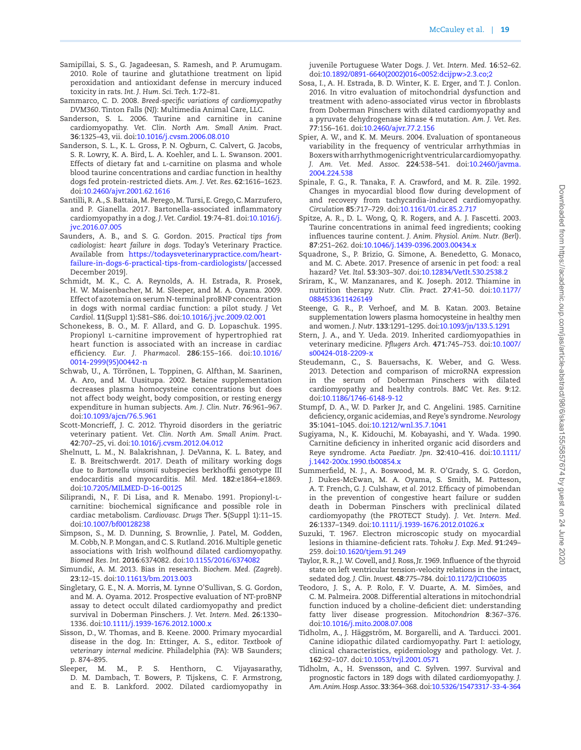- Samipillai, S. S., G. Jagadeesan, S. Ramesh, and P. Arumugam. 2010. Role of taurine and glutathione treatment on lipid peroxidation and antioxidant defense in mercury induced toxicity in rats. *Int. J. Hum. Sci. Tech*. **1**:72–81.
- Sammarco, C. D. 2008. *Breed-specific variations of cardiomyopathy DVM360*. Tinton Falls (NJ): Multimedia Animal Care, LLC.
- Sanderson, S. L. 2006. Taurine and carnitine in canine cardiomyopathy. *Vet. Clin. North Am. Small Anim. Pract*. **36**:1325–43, vii. doi[:10.1016/j.cvsm.2006.08.010](https://doi.org/10.1016/j.cvsm.2006.08.010)
- Sanderson, S. L., K. L. Gross, P. N. Ogburn, C. Calvert, G. Jacobs, S. R. Lowry, K. A. Bird, L. A. Koehler, and L. L. Swanson. 2001. Effects of dietary fat and L-carnitine on plasma and whole blood taurine concentrations and cardiac function in healthy dogs fed protein-restricted diets. *Am. J. Vet. Res*. **62**:1616–1623. doi:[10.2460/ajvr.2001.62.1616](https://doi.org/10.2460/ajvr.2001.62.1616)
- Santilli, R. A., S. Battaia, M. Perego, M. Tursi, E. Grego, C. Marzufero, and P. Gianella. 2017. Bartonella-associated inflammatory cardiomyopathy in a dog. *J. Vet. Cardiol*. **19**:74–81. doi:[10.1016/j.](https://doi.org/10.1016/j.jvc.2016.07.005) [jvc.2016.07.005](https://doi.org/10.1016/j.jvc.2016.07.005)
- Saunders, A. B., and S. G. Gordon. 2015. *Practical tips from cadiologist: heart failure in dogs*. Today's Veterinary Practice. Available from [https://todaysveterinarypractice.com/heart](https://todaysveterinarypractice.com/heart-failure-in-dogs-6-practical-tips-from-cardiologists/﻿)[failure-in-dogs-6-practical-tips-from-cardiologists/](https://todaysveterinarypractice.com/heart-failure-in-dogs-6-practical-tips-from-cardiologists/﻿) [accessed December 2019].
- Schmidt, M. K., C. A. Reynolds, A. H. Estrada, R. Prosek, H. W. Maisenbacher, M. M. Sleeper, and M. A. Oyama. 2009. Effect of azotemia on serum N-terminal proBNP concentration in dogs with normal cardiac function: a pilot study. *J Vet Cardiol*. **11**(Suppl 1):S81–S86. doi:[10.1016/j.jvc.2009.02.001](https://doi.org/10.1016/j.jvc.2009.02.001)
- Schonekess, B. O., M. F. Allard, and G. D. Lopaschuk. 1995. Propionyl l-carnitine improvement of hypertrophied rat heart function is associated with an increase in cardiac efficiency. *Eur. J. Pharmacol*. **286**:155–166. doi[:10.1016/](https://doi.org/10.1016/0014-2999(95)00442-n) [0014-2999\(95\)00442-n](https://doi.org/10.1016/0014-2999(95)00442-n)
- Schwab, U., A. Törrönen, L. Toppinen, G. Alfthan, M. Saarinen, A. Aro, and M. Uusitupa. 2002. Betaine supplementation decreases plasma homocysteine concentrations but does not affect body weight, body composition, or resting energy expenditure in human subjects. *Am. J. Clin. Nutr*. **76**:961–967. doi:[10.1093/ajcn/76.5.961](https://doi.org/10.1093/ajcn/76.5.961)
- Scott-Moncrieff, J. C. 2012. Thyroid disorders in the geriatric veterinary patient. *Vet. Clin. North Am. Small Anim. Pract*. **42**:707–25, vi. doi:[10.1016/j.cvsm.2012.04.012](https://doi.org/10.1016/j.cvsm.2012.04.012)
- Shelnutt, L. M., N. Balakrishnan, J. DeVanna, K. L. Batey, and E. B. Breitschwerdt. 2017. Death of military working dogs due to *Bartonella vinsonii* subspecies berkhoffii genotype III endocarditis and myocarditis. *Mil. Med*. **182**:e1864–e1869. doi:[10.7205/MILMED-D-16-00125](https://doi.org/10.7205/MILMED-D-16-00125)
- Siliprandi, N., F. Di Lisa, and R. Menabo. 1991. Propionyl-lcarnitine: biochemical significance and possible role in cardiac metabolism. *Cardiovasc. Drugs Ther*. **5**(Suppl 1):11–15. doi:[10.1007/bf00128238](https://doi.org/10.1007/bf00128238)
- Simpson, S., M. D. Dunning, S. Brownlie, J. Patel, M. Godden, M. Cobb, N. P. Mongan, and C. S. Rutland. 2016. Multiple genetic associations with Irish wolfhound dilated cardiomyopathy. *Biomed Res. Int*. **2016**:6374082. doi:[10.1155/2016/6374082](https://doi.org/10.1155/2016/6374082)
- Simundić, A. M. 2013. Bias in research. *Biochem. Med. (Zagreb)*. **23**:12–15. doi[:10.11613/bm.2013.003](https://doi.org/10.11613/bm.2013.003)
- Singletary, G. E., N. A. Morris, M. Lynne O'Sullivan, S. G. Gordon, and M. A. Oyama. 2012. Prospective evaluation of NT-proBNP assay to detect occult dilated cardiomyopathy and predict survival in Doberman Pinschers. *J. Vet. Intern. Med*. **26**:1330– 1336. doi[:10.1111/j.1939-1676.2012.1000.x](https://doi.org/10.1111/j.1939-1676.2012.1000.x)
- Sisson, D., W. Thomas, and B. Keene. 2000. Primary myocardial disease in the dog. In: Ettinger, A. S., editor. *Textbook of veterinary internal medicine*. Philadelphia (PA): WB Saunders; p. 874–895.
- Sleeper, M. M., P. S. Henthorn, C. Vijayasarathy, D. M. Dambach, T. Bowers, P. Tijskens, C. F. Armstrong, and E. B. Lankford. 2002. Dilated cardiomyopathy in

juvenile Portuguese Water Dogs. *J. Vet. Intern. Med*. **16**:52–62. doi:[10.1892/0891-6640\(2002\)016<0052:dcijpw>2.3.co;2](https://doi.org/10.1892/0891-6640(2002)016<0052:dcijpw>2.3.co;2)

- Sosa, I., A. H. Estrada, B. D. Winter, K. E. Erger, and T. J. Conlon. 2016. In vitro evaluation of mitochondrial dysfunction and treatment with adeno-associated virus vector in fibroblasts from Doberman Pinschers with dilated cardiomyopathy and a pyruvate dehydrogenase kinase 4 mutation. *Am. J. Vet. Res*. **77**:156–161. doi[:10.2460/ajvr.77.2.156](https://doi.org/10.2460/ajvr.77.2.156)
- Spier, A. W., and K. M. Meurs. 2004. Evaluation of spontaneous variability in the frequency of ventricular arrhythmias in Boxers with arrhythmogenic right ventricular cardiomyopathy. *J. Am. Vet. Med. Assoc*. **224**:538–541. doi:[10.2460/javma.](https://doi.org/10.2460/javma.2004.224.538) [2004.224.538](https://doi.org/10.2460/javma.2004.224.538)
- Spinale, F. G., R. Tanaka, F. A. Crawford, and M. R. Zile. 1992. Changes in myocardial blood flow during development of and recovery from tachycardia-induced cardiomyopathy. *Circulation* **85**:717–729. doi:[10.1161/01.cir.85.2.717](https://doi.org/10.1161/01.cir.85.2.717)
- Spitze, A. R., D. L. Wong, Q. R. Rogers, and A. J. Fascetti. 2003. Taurine concentrations in animal feed ingredients; cooking influences taurine content. *J. Anim. Physiol. Anim. Nutr. (Berl)*. **87**:251–262. doi[:10.1046/j.1439-0396.2003.00434.x](https://doi.org/10.1046/j.1439-0396.2003.00434.x)
- Squadrone, S., P. Brizio, G. Simone, A. Benedetto, G. Monaco, and M. C. Abete. 2017. Presence of arsenic in pet food: a real hazard? *Vet. Ital*. **53**:303–307. doi[:10.12834/VetIt.530.2538.2](https://doi.org/10.12834/VetIt.530.2538.2)
- Sriram, K., W. Manzanares, and K. Joseph. 2012. Thiamine in nutrition therapy. *Nutr. Clin. Pract*. **27**:41–50. doi[:10.1177/](https://doi.org/10.1177/0884533611426149) [0884533611426149](https://doi.org/10.1177/0884533611426149)
- Steenge, G. R., P. Verhoef, and M. B. Katan. 2003. Betaine supplementation lowers plasma homocysteine in healthy men and women. *J. Nutr*. **133**:1291–1295. doi:[10.1093/jn/133.5.1291](https://doi.org/10.1093/jn/133.5.1291)
- Stern, J. A., and Y. Ueda. 2019. Inherited cardiomyopathies in veterinary medicine. *Pflugers Arch*. **471**:745–753. doi[:10.1007/](https://doi.org/10.1007/s00424-018-2209-x) [s00424-018-2209-x](https://doi.org/10.1007/s00424-018-2209-x)
- Steudemann, C., S. Bauersachs, K. Weber, and G. Wess. 2013. Detection and comparison of microRNA expression in the serum of Doberman Pinschers with dilated cardiomyopathy and healthy controls. *BMC Vet. Res*. **9**:12. doi:[10.1186/1746-6148-9-12](https://doi.org/10.1186/1746-6148-9-12)
- Stumpf, D. A., W. D. Parker Jr, and C. Angelini. 1985. Carnitine deficiency, organic acidemias, and Reye's syndrome. *Neurology* **35**:1041–1045. doi:[10.1212/wnl.35.7.1041](https://doi.org/10.1212/wnl.35.7.1041)
- Sugiyama, N., K. Kidouchi, M. Kobayashi, and Y. Wada. 1990. Carnitine deficiency in inherited organic acid disorders and Reye syndrome. *Acta Paediatr. Jpn*. **32**:410–416. doi[:10.1111/](https://doi.org/10.1111/j.1442-200x.1990.tb00854.x) [j.1442-200x.1990.tb00854.x](https://doi.org/10.1111/j.1442-200x.1990.tb00854.x)
- Summerfield, N. J., A. Boswood, M. R. O'Grady, S. G. Gordon, J. Dukes-McEwan, M. A. Oyama, S. Smith, M. Patteson, A. T. French, G. J. Culshaw, *et al.* 2012. Efficacy of pimobendan in the prevention of congestive heart failure or sudden death in Doberman Pinschers with preclinical dilated cardiomyopathy (the PROTECT Study). *J. Vet. Intern. Med*. **26**:1337–1349. doi:[10.1111/j.1939-1676.2012.01026.x](https://doi.org/10.1111/j.1939-1676.2012.01026.x)
- <span id="page-18-0"></span>Suzuki, T. 1967. Electron microscopic study on myocardial lesions in thiamine-deficient rats. *Tohoku J. Exp. Med*. **91**:249– 259. doi[:10.1620/tjem.91.249](https://doi.org/10.1620/tjem.91.249)
- Taylor, R. R., J. W. Covell, and J. Ross, Jr. 1969. Influence of the thyroid state on left ventricular tension-velocity relations in the intact, sedated dog. *J. Clin. Invest*. **48**:775–784. doi[:10.1172/JCI106035](https://doi.org/10.1172/JCI106035)
- Teodoro, J. S., A. P. Rolo, F. V. Duarte, A. M. Simões, and C. M. Palmeira. 2008. Differential alterations in mitochondrial function induced by a choline-deficient diet: understanding fatty liver disease progression. *Mitochondrion* **8**:367–376. doi:[10.1016/j.mito.2008.07.008](https://doi.org/10.1016/j.mito.2008.07.008)
- Tidholm, A., J. Häggström, M. Borgarelli, and A. Tarducci. 2001. Canine idiopathic dilated cardiomyopathy. Part I: aetiology, clinical characteristics, epidemiology and pathology. *Vet. J*. **162**:92–107. doi:[10.1053/tvjl.2001.0571](https://doi.org/10.1053/tvjl.2001.0571)
- Tidholm, A., H. Svensson, and C. Sylven. 1997. Survival and prognostic factors in 189 dogs with dilated cardiomyopathy. *J. Am. Anim. Hosp. Assoc*. **33**:364–368. doi[:10.5326/15473317-33-4-364](https://doi.org/10.5326/15473317-33-4-364)